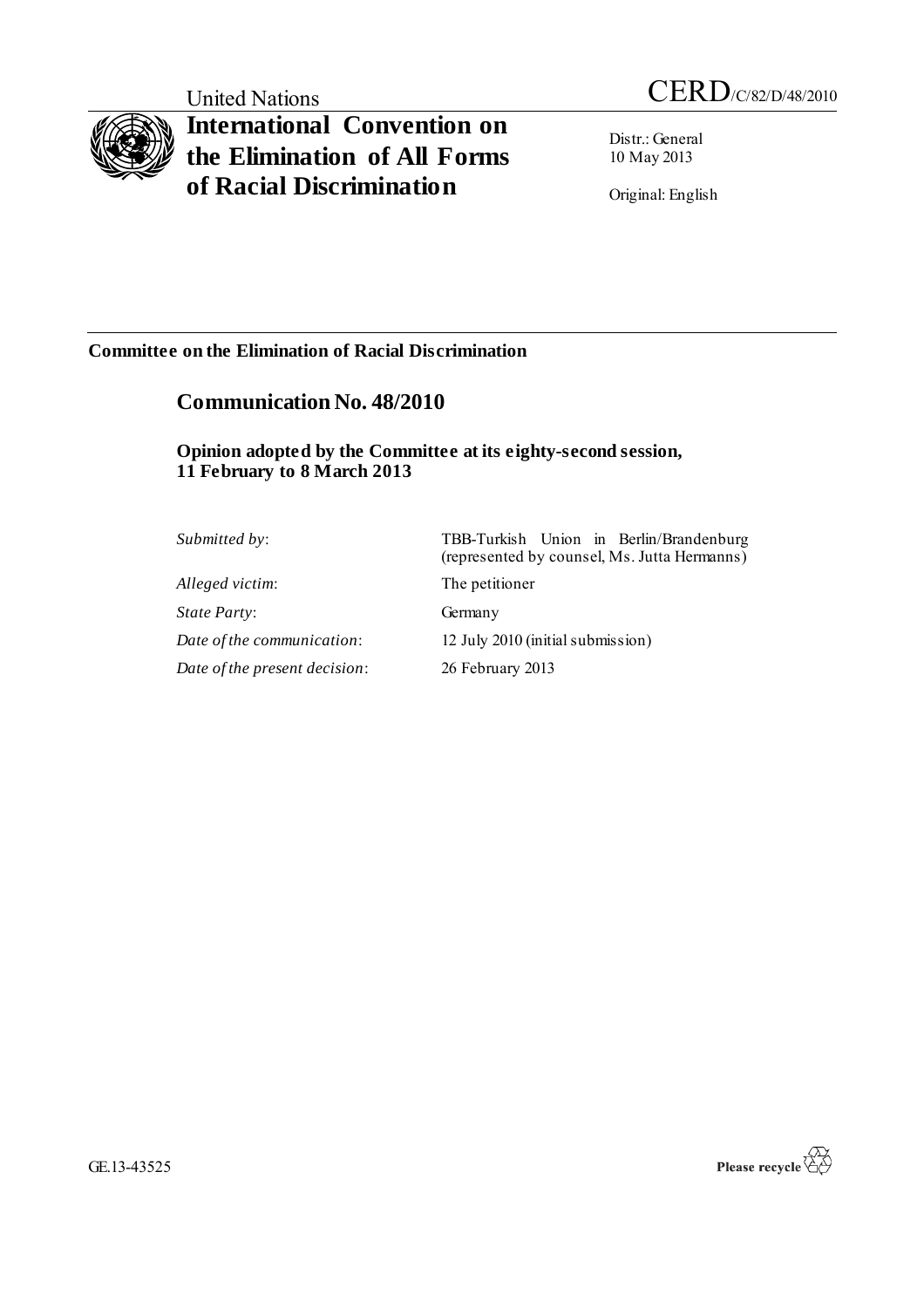# **International Convention on the Elimination of All Forms of Racial Discrimination**

Distr.: General 10 May 2013

Original: English

### **Committee on the Elimination of Racial Discrimination**

## **Communication No. 48/2010**

### **Opinion adopted by the Committee at its eighty-second session, 11 February to 8 March 2013**

| <i>Submitted by:</i>          | TBB-Turkish Union in Berlin/Brandenburg<br>(represented by counsel, Ms. Jutta Hermanns) |
|-------------------------------|-----------------------------------------------------------------------------------------|
| Alleged victim:               | The petitioner                                                                          |
| <i>State Party:</i>           | Germany                                                                                 |
| Date of the communication:    | 12 July 2010 (initial submission)                                                       |
| Date of the present decision: | 26 February 2013                                                                        |



GE.13-43525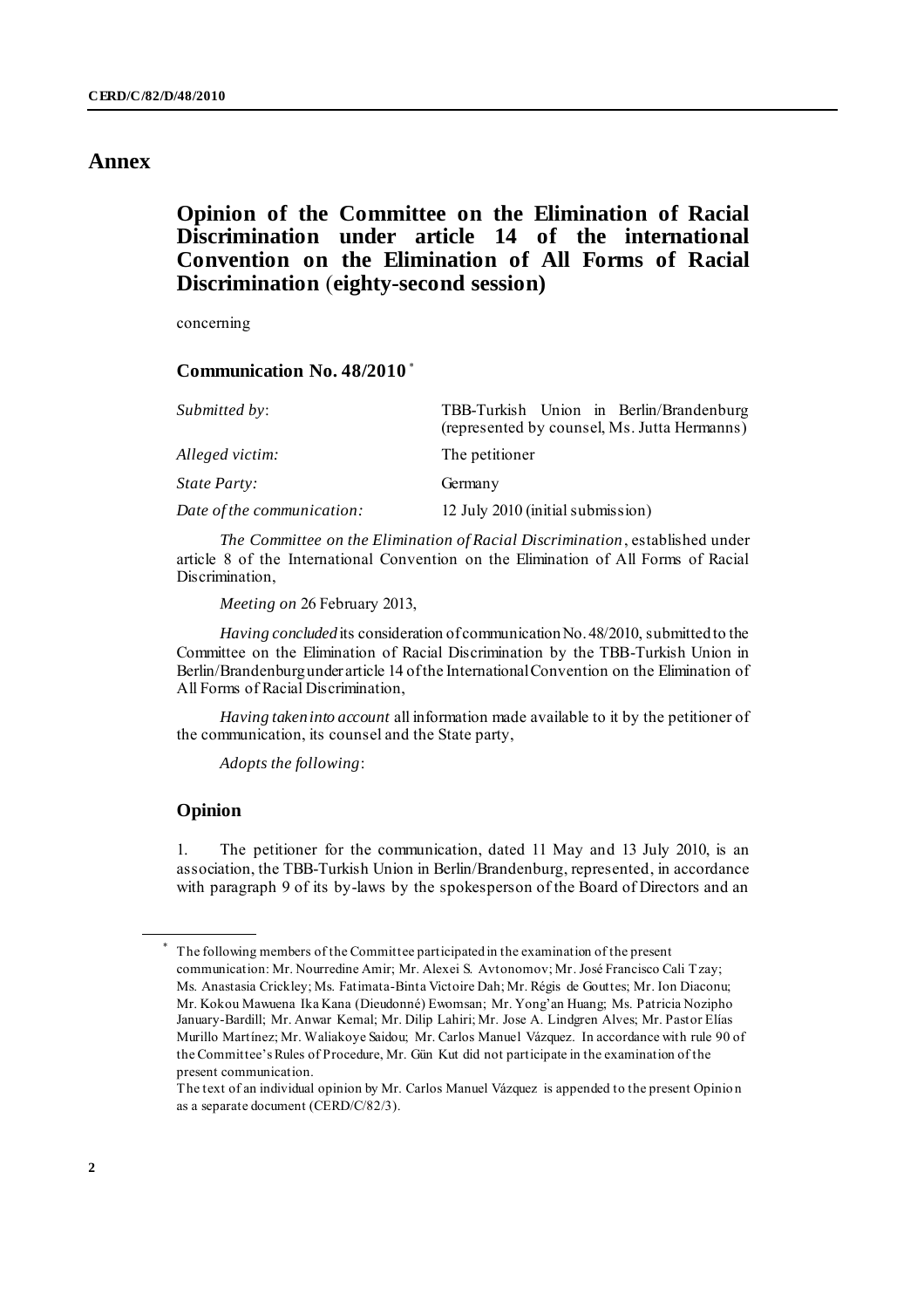### **Annex**

### **Opinion of the Committee on the Elimination of Racial Discrimination under article 14 of the international Convention on the Elimination of All Forms of Racial Discrimination** (**eighty-second session)**

concerning

#### **Communication No. 48/2010** \*

| Submitted by:              | TBB-Turkish Union in Berlin/Brandenburg<br>(represented by counsel, Ms. Jutta Hermanns) |
|----------------------------|-----------------------------------------------------------------------------------------|
| Alleged victim:            | The petitioner                                                                          |
| <i>State Party:</i>        | Germany                                                                                 |
| Date of the communication: | 12 July 2010 (initial submission)                                                       |

*The Committee on the Elimination of Racial Discrimination*, established under article 8 of the International Convention on the Elimination of All Forms of Racial Discrimination,

*Meeting on* 26 February 2013,

*Having concluded* its consideration of communication No. 48/2010, submitted to the Committee on the Elimination of Racial Discrimination by the TBB-Turkish Union in Berlin/Brandenburg under article 14 of the International Convention on the Elimination of All Forms of Racial Discrimination,

*Having taken into account* all information made available to it by the petitioner of the communication, its counsel and the State party,

*Adopts the following*:

#### **Opinion**

1. The petitioner for the communication, dated 11 May and 13 July 2010, is an association, the TBB-Turkish Union in Berlin/Brandenburg, represented, in accordance with paragraph 9 of its by-laws by the spokesperson of the Board of Directors and an

The text of an individual opinion by Mr. Carlos Manuel Vázquez is appended to the present Opinio n as a separate document (CERD/C/82/3).

The following members of the Committee participated in the examination of the present communication: Mr. Nourredine Amir; Mr. Alexei S. Avtonomov; Mr. José Francisco Cali Tzay; Ms. Anastasia Crickley; Ms. Fatimata-Binta Victoire Dah; Mr. Régis de Gouttes; Mr. Ion Diaconu; Mr. Kokou Mawuena Ika Kana (Dieudonné) Ewomsan; Mr. Yong'an Huang; Ms. Patricia Nozipho January-Bardill; Mr. Anwar Kemal; Mr. Dilip Lahiri; Mr. Jose A. Lindgren Alves; Mr. Pastor Elías Murillo Martínez; Mr. Waliakoye Saidou; Mr. Carlos Manuel Vázquez. In accordance with rule 90 of the Committee's Rules of Procedure, Mr. Gün Kut did not participate in the examination of the present communication.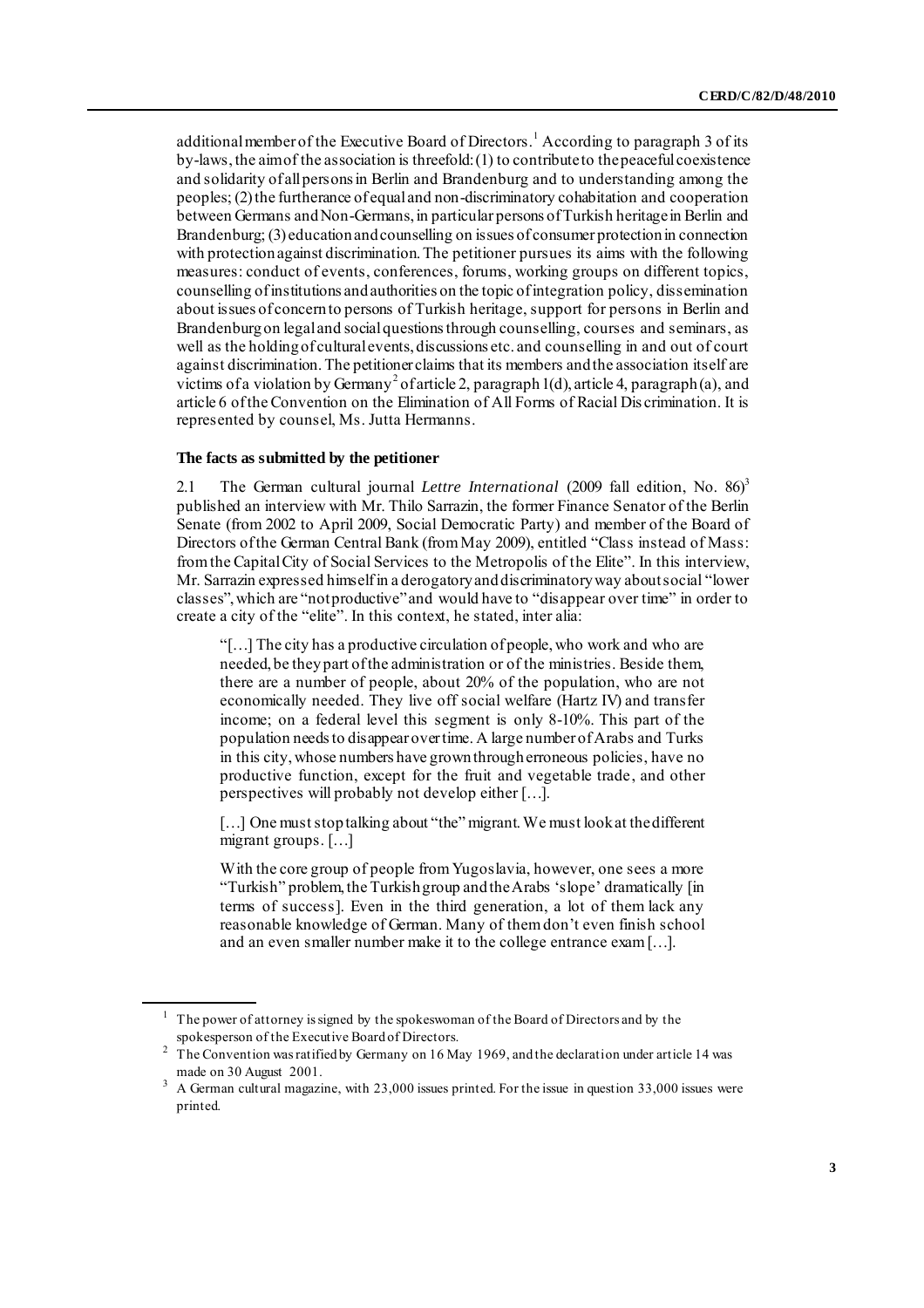additional member of the Executive Board of Directors.<sup>1</sup> According to paragraph 3 of its by-laws, the aim of the association is threefold: (1) to contribute to the peaceful coexistence and solidarity of all persons in Berlin and Brandenburg and to understanding among the peoples; (2) the furtherance of equal and non-discriminatory cohabitation and cooperation between Germans and Non-Germans, in particular persons of Turkish heritage in Berlin and Brandenburg; (3) education and counselling on issues of consumer protection in connection with protection against discrimination. The petitioner pursues its aims with the following measures: conduct of events, conferences, forums, working groups on different topics, counselling of institutions and authorities on the topic of integration policy, dissemination about issues of concern to persons of Turkish heritage, support for persons in Berlin and Brandenburg on legal and social questions through counselling, courses and seminars, as well as the holding of cultural events, discussions etc. and counselling in and out of court against discrimination. The petitioner claims that its members and the association itself are victims of a violation by Germany<sup>2</sup> of article 2, paragraph 1(d), article 4, paragraph (a), and article 6 of the Convention on the Elimination of All Forms of Racial Dis crimination. It is represented by counsel, Ms. Jutta Hermanns.

#### **The facts as submitted by the petitioner**

2.1 The German cultural journal *Lettre International* (2009 fall edition, No. 86)<sup>3</sup> published an interview with Mr. Thilo Sarrazin, the former Finance Senator of the Berlin Senate (from 2002 to April 2009, Social Democratic Party) and member of the Board of Directors of the German Central Bank (from May 2009), entitled "Class instead of Mass: from the Capital City of Social Services to the Metropolis of the Elite". In this interview, Mr. Sarrazin expressed himself in a derogatory and discriminatory way about social "lower classes", which are "not productive" and would have to "disappear over time" in order to create a city of the "elite". In this context, he stated, inter alia:

"[…] The city has a productive circulation of people, who work and who are needed, be they part of the administration or of the ministries. Beside them, there are a number of people, about 20% of the population, who are not economically needed. They live off social welfare (Hartz IV) and transfer income; on a federal level this segment is only 8-10%. This part of the population needs to disappear over time. A large number of Arabs and Turks in this city, whose numbers have grown through erroneous policies, have no productive function, except for the fruit and vegetable trade, and other perspectives will probably not develop either […].

[...] One must stop talking about "the" migrant. We must look at the different migrant groups. […]

With the core group of people from Yugoslavia, however, one sees a more "Turkish" problem, the Turkish group and the Arabs 'slope' dramatically [in terms of success]. Even in the third generation, a lot of them lack any reasonable knowledge of German. Many of them don't even finish school and an even smaller number make it to the college entrance exam […].

 $1$  The power of attorney is signed by the spokeswoman of the Board of Directors and by the spokesperson of the Executive Board of Directors.

<sup>&</sup>lt;sup>2</sup> The Convention was ratified by Germany on 16 May 1969, and the declaration under article 14 was made on 30 August 2001.

<sup>&</sup>lt;sup>3</sup> A German cultural magazine, with 23,000 issues printed. For the issue in question 33,000 issues were printed.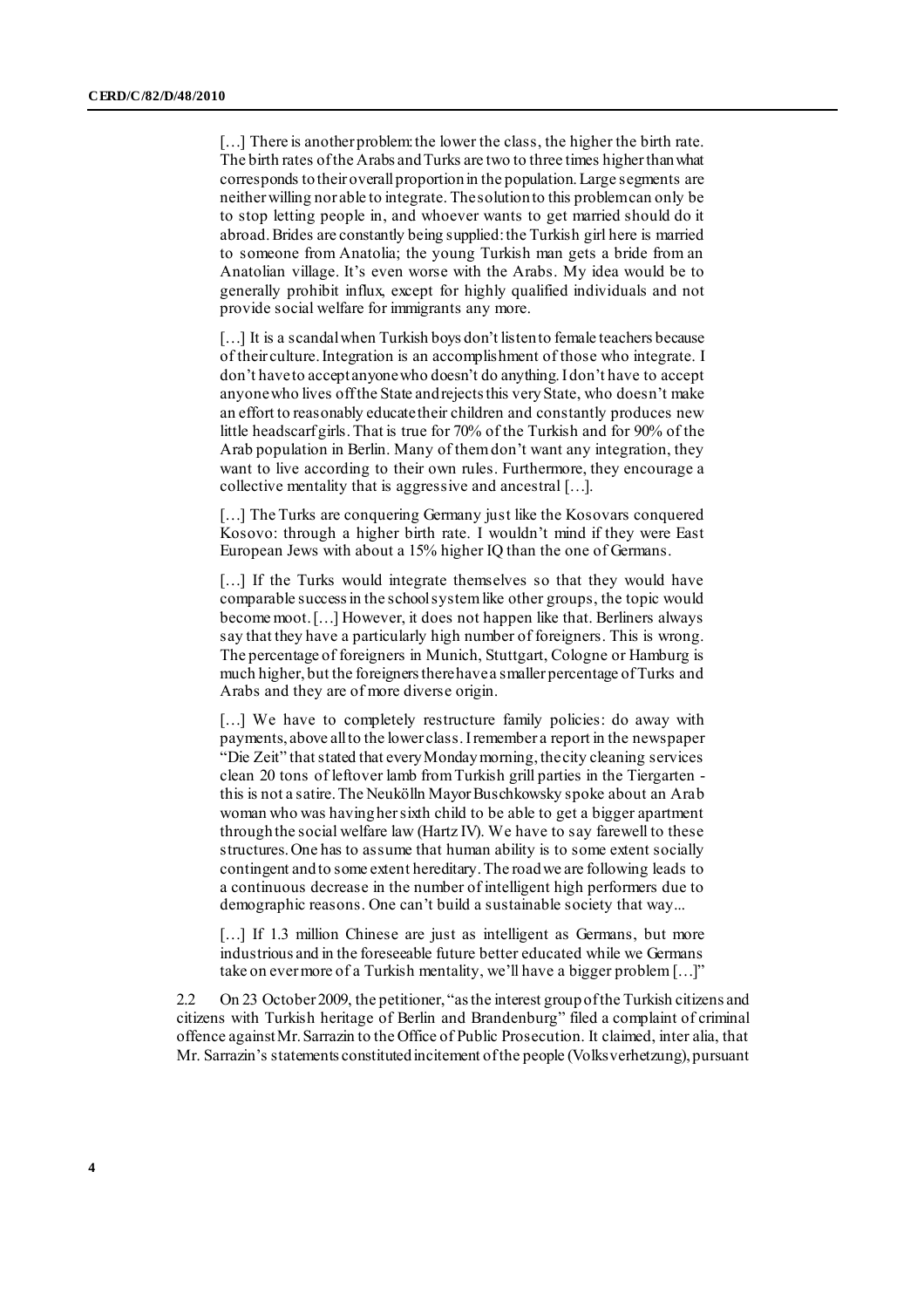[...] There is another problem: the lower the class, the higher the birth rate. The birth rates of the Arabs and Turks are two to three times higher than what corresponds to their overall proportion in the population. Large segments are neither willing nor able to integrate. The solution to this problem can only be to stop letting people in, and whoever wants to get married should do it abroad. Brides are constantly being supplied: the Turkish girl here is married to someone from Anatolia; the young Turkish man gets a bride from an Anatolian village. It's even worse with the Arabs. My idea would be to generally prohibit influx, except for highly qualified individuals and not provide social welfare for immigrants any more.

[...] It is a scandal when Turkish boys don't listen to female teachers because of their culture. Integration is an accomplishment of those who integrate. I don't have to accept anyone who doesn't do anything. I don't have to accept anyone who lives off the State and rejects this very State, who doesn't make an effort to reasonably educate their children and constantly produces new little headscarf girls. That is true for 70% of the Turkish and for 90% of the Arab population in Berlin. Many of them don't want any integration, they want to live according to their own rules. Furthermore, they encourage a collective mentality that is aggressive and ancestral […].

[...] The Turks are conquering Germany just like the Kosovars conquered Kosovo: through a higher birth rate. I wouldn't mind if they were East European Jews with about a 15% higher IQ than the one of Germans.

[...] If the Turks would integrate themselves so that they would have comparable success in the school system like other groups, the topic would become moot. […] However, it does not happen like that. Berliners always say that they have a particularly high number of foreigners. This is wrong. The percentage of foreigners in Munich, Stuttgart, Cologne or Hamburg is much higher, but the foreigners there have a smaller percentage of Turks and Arabs and they are of more diverse origin.

[...] We have to completely restructure family policies: do away with payments, above all to the lower class. I remember a report in the newspaper "Die Zeit" that stated that every Monday morning, the city cleaning services clean 20 tons of leftover lamb from Turkish grill parties in the Tiergarten this is not a satire. The Neukölln Mayor Buschkowsky spoke about an Arab woman who was having her sixth child to be able to get a bigger apartment through the social welfare law (Hartz IV). We have to say farewell to these structures. One has to assume that human ability is to some extent socially contingent and to some extent hereditary. The road we are following leads to a continuous decrease in the number of intelligent high performers due to demographic reasons. One can't build a sustainable society that way...

[...] If 1.3 million Chinese are just as intelligent as Germans, but more industrious and in the foreseeable future better educated while we Germans take on ever more of a Turkish mentality, we'll have a bigger problem […]"

2.2 On 23 October 2009, the petitioner, "as the interest group of the Turkish citizens and citizens with Turkish heritage of Berlin and Brandenburg" filed a complaint of criminal offence against Mr. Sarrazin to the Office of Public Prosecution. It claimed, inter alia, that Mr. Sarrazin's statements constituted incitement of the people (Volksverhetzung), pursuant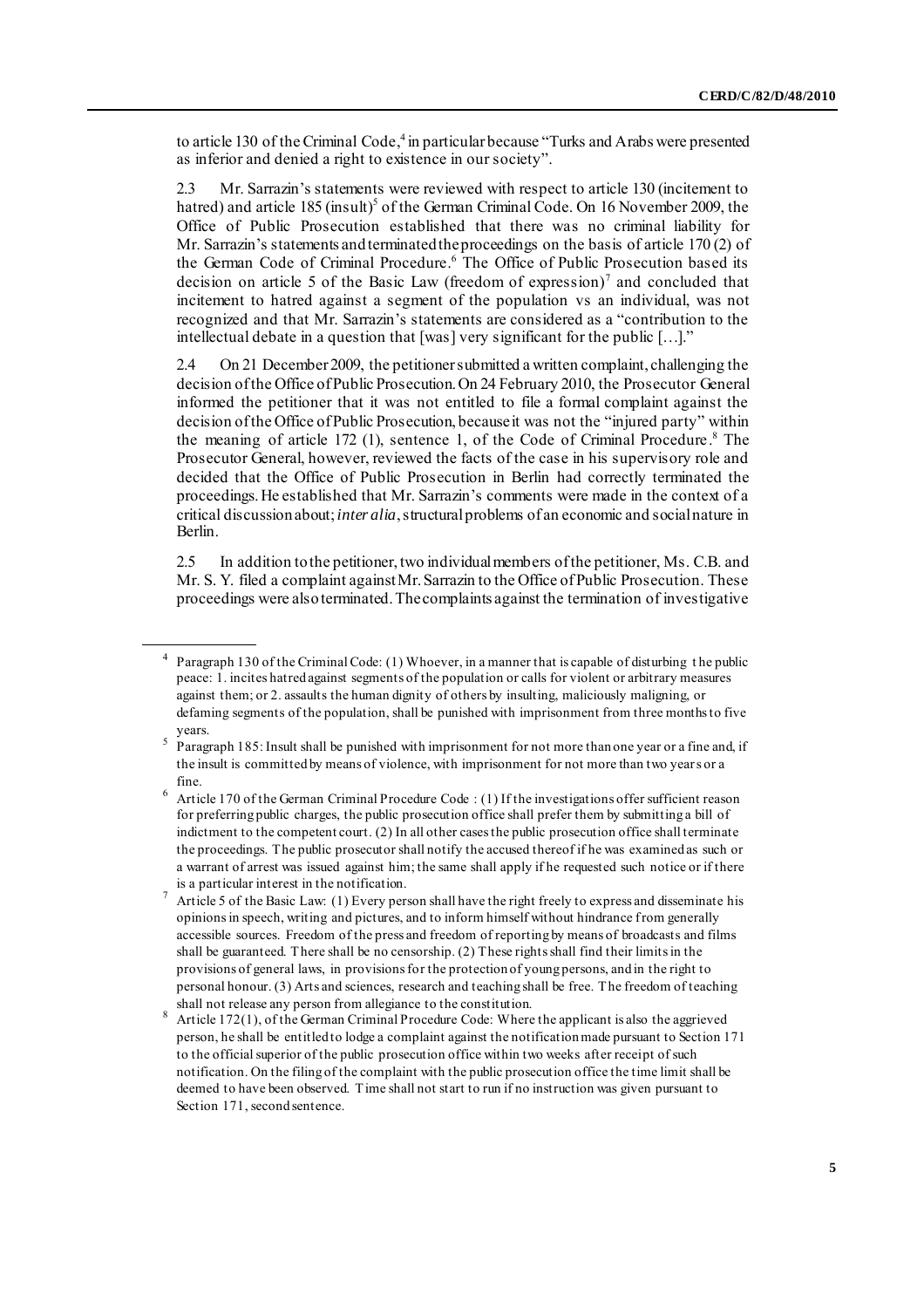to article 130 of the Criminal Code, 4 in particular because "Turks and Arabs were presented as inferior and denied a right to existence in our society".

2.3 Mr. Sarrazin's statements were reviewed with respect to article 130 (incitement to hatred) and article 185 (insult)<sup>5</sup> of the German Criminal Code. On 16 November 2009, the Office of Public Prosecution established that there was no criminal liability for Mr. Sarrazin's statements and terminated the proceedings on the basis of article 170 (2) of the German Code of Criminal Procedure. <sup>6</sup> The Office of Public Prosecution based its decision on article 5 of the Basic Law (freedom of expression)<sup>7</sup> and concluded that incitement to hatred against a segment of the population vs an individual, was not recognized and that Mr. Sarrazin's statements are considered as a "contribution to the intellectual debate in a question that [was] very significant for the public […]."

2.4 On 21 December 2009, the petitioner submitted a written complaint, challenging the decision of the Office of Public Prosecution. On 24 February 2010, the Prosecutor General informed the petitioner that it was not entitled to file a formal complaint against the decision of the Office of Public Prosecution, because it was not the "injured party" within the meaning of article 172 (1), sentence 1, of the Code of Criminal Procedure. <sup>8</sup> The Prosecutor General, however, reviewed the facts of the case in his supervisory role and decided that the Office of Public Prosecution in Berlin had correctly terminated the proceedings. He established that Mr. Sarrazin's comments were made in the context of a critical discussion about; *inter alia*, structural problems of an economic and social nature in Berlin.

2.5 In addition to the petitioner, two individual members of the petitioner, Ms. C.B. and Mr. S. Y. filed a complaint against Mr. Sarrazin to the Office of Public Prosecution. These proceedings were also terminated. The complaints against the termination of investigative

<sup>&</sup>lt;sup>4</sup> Paragraph 130 of the Criminal Code: (1) Whoever, in a manner that is capable of disturbing the public peace: 1. incites hatred against segments of the population or calls for violent or arbitrary measures against them; or 2. assaults the human dignity of others by insulting, maliciously maligning, or defaming segments of the population, shall be punished with imprisonment from three months to five years.

 $5$  Paragraph 185: Insult shall be punished with imprisonment for not more than one year or a fine and, if the insult is committed by means of violence, with imprisonment for not more than two years or a fine.

 $6$  Article 170 of the German Criminal Procedure Code : (1) If the investigations offer sufficient reason for preferring public charges, the public prosecution office shall prefer them by submitting a bill of indictment to the competent court. (2) In all other cases the public prosecution office shall terminate the proceedings. The public prosecutor shall notify the accused thereof if he was examined as such or a warrant of arrest was issued against him; the same shall apply if he requested such notice or if there is a particular interest in the notification.

Article 5 of the Basic Law: (1) Every person shall have the right freely to express and disseminate his opinions in speech, writing and pictures, and to inform himself without hindrance from generally accessible sources. Freedom of the press and freedom of reporting by means of broadcasts and films shall be guaranteed. There shall be no censorship. (2) These rights shall find their limits in the provisions of general laws, in provisions for the protection of young persons, and in the right to personal honour. (3) Arts and sciences, research and teaching shall be free. The freedom of teaching shall not release any person from allegiance to the constitution.

<sup>&</sup>lt;sup>8</sup> Article 172(1), of the German Criminal Procedure Code: Where the applicant is also the aggrieved person, he shall be entitled to lodge a complaint against the notification made pursuant to Section 171 to the official superior of the public prosecution office within two weeks after receipt of such notification. On the filing of the complaint with the public prosecution office the time limit shall be deemed to have been observed. Time shall not start to run if no instruction was given pursuant to Section 171, second sentence.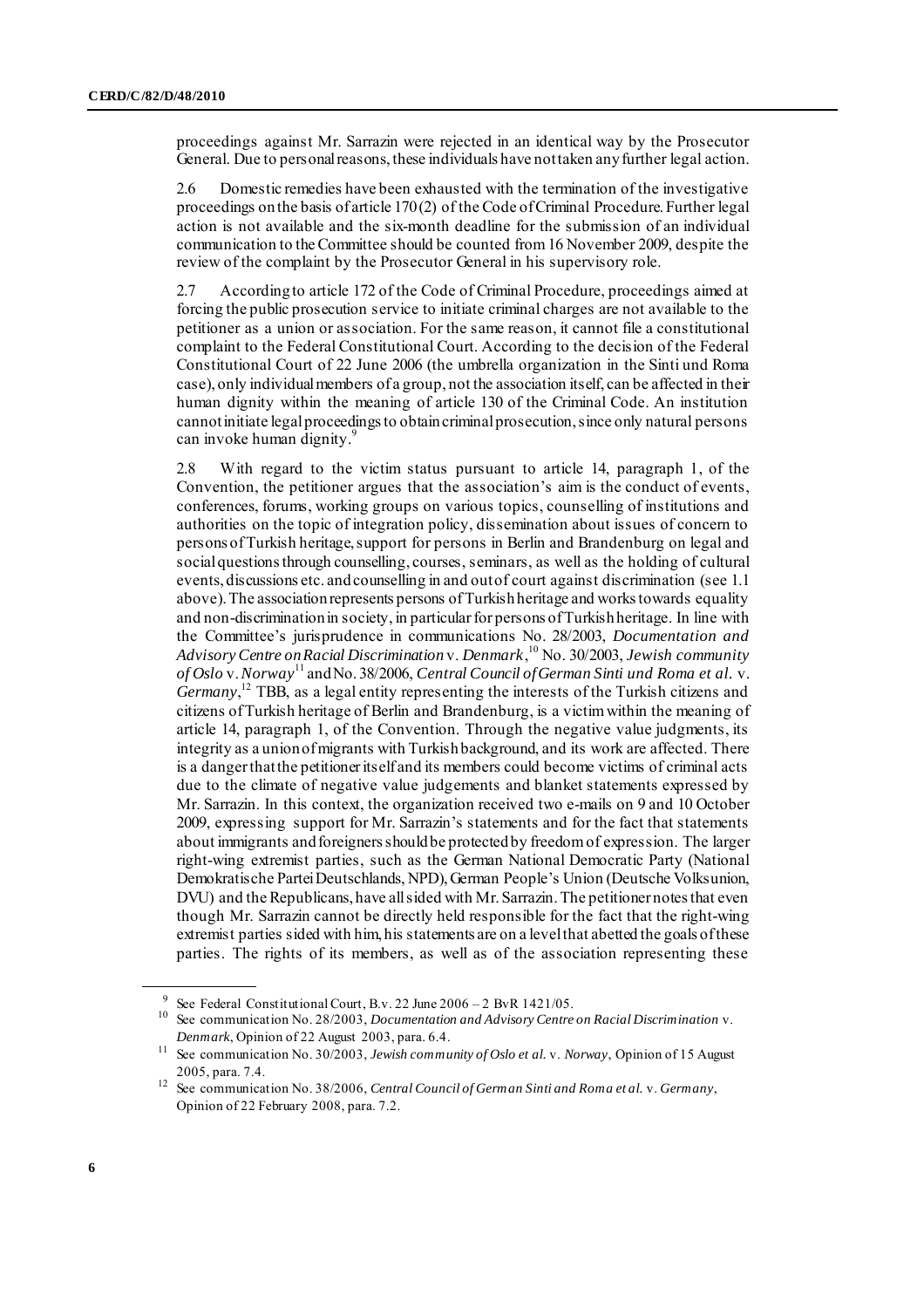proceedings against Mr. Sarrazin were rejected in an identical way by the Prosecutor General. Due to personal reasons, these individuals have not taken any further legal action.

2.6 Domestic remedies have been exhausted with the termination of the investigative proceedings on the basis of article 170 (2) of the Code of Criminal Procedure. Further legal action is not available and the six-month deadline for the submission of an individual communication to the Committee should be counted from 16 November 2009, despite the review of the complaint by the Prosecutor General in his supervisory role.

2.7 According to article 172 of the Code of Criminal Procedure, proceedings aimed at forcing the public prosecution service to initiate criminal charges are not available to the petitioner as a union or association. For the same reason, it cannot file a constitutional complaint to the Federal Constitutional Court. According to the decision of the Federal Constitutional Court of 22 June 2006 (the umbrella organization in the Sinti und Roma case), only individual members of a group, not the association itself, can be affected in their human dignity within the meaning of article 130 of the Criminal Code. An institution cannot initiate legal proceedings to obtain criminal prosecution, since only natural persons can invoke human dignity.<sup>9</sup>

2.8 With regard to the victim status pursuant to article 14, paragraph 1, of the Convention, the petitioner argues that the association's aim is the conduct of events, conferences, forums, working groups on various topics, counselling of institutions and authorities on the topic of integration policy, dissemination about issues of concern to persons of Turkish heritage, support for persons in Berlin and Brandenburg on legal and social questions through counselling, courses, seminars, as well as the holding of cultural events, discussions etc. and counselling in and out of court against discrimination (see 1.1 above). The association represents persons of Turkish heritage and works towards equality and non-discrimination in society, in particular for persons of Turkish heritage. In line with the Committee's jurisprudence in communications No. 28/2003, *Documentation and Advisory Centre on Racial Discrimination* v. *Denmark*, <sup>10</sup> No. 30/2003, *Jewish community of Oslo* v. *Norway*<sup>11</sup> and No. 38/2006, *Central Council of German Sinti und Roma et al.* v. *Germany*, <sup>12</sup> TBB, as a legal entity representing the interests of the Turkish citizens and citizens of Turkish heritage of Berlin and Brandenburg, is a victim within the meaning of article 14, paragraph 1, of the Convention. Through the negative value judgments, its integrity as a union of migrants with Turkish background, and its work are affected. There is a danger that the petitioner itself and its members could become victims of criminal acts due to the climate of negative value judgements and blanket statements expressed by Mr. Sarrazin. In this context, the organization received two e-mails on 9 and 10 October 2009, expressing support for Mr. Sarrazin's statements and for the fact that statements about immigrants and foreigners should be protected by freedom of expression. The larger right-wing extremist parties, such as the German National Democratic Party (National Demokratische Partei Deutschlands, NPD), German People's Union (Deutsche Volksunion, DVU) and the Republicans, have all sided with Mr. Sarrazin. The petitioner notes that even though Mr. Sarrazin cannot be directly held responsible for the fact that the right-wing extremist parties sided with him, his statements are on a level that abetted the goals of these parties. The rights of its members, as well as of the association representing these

<sup>9</sup> See Federal Constitutional Court, B.v. 22 June 2006 – 2 BvR 1421/05.

<sup>10</sup> See communication No. 28/2003, *Documentation and Advisory Centre on Racial Discrimination* v. *Denmark*, Opinion of 22 August 2003, para. 6.4.

<sup>11</sup> See communication No. 30/2003, *Jewish community of Oslo et al.* v. *Norway*, Opinion of 15 August 2005, para. 7.4.

<sup>12</sup> See communication No. 38/2006, *Central Council of German Sinti and Roma et al.* v. *Germany*, Opinion of 22 February 2008, para. 7.2.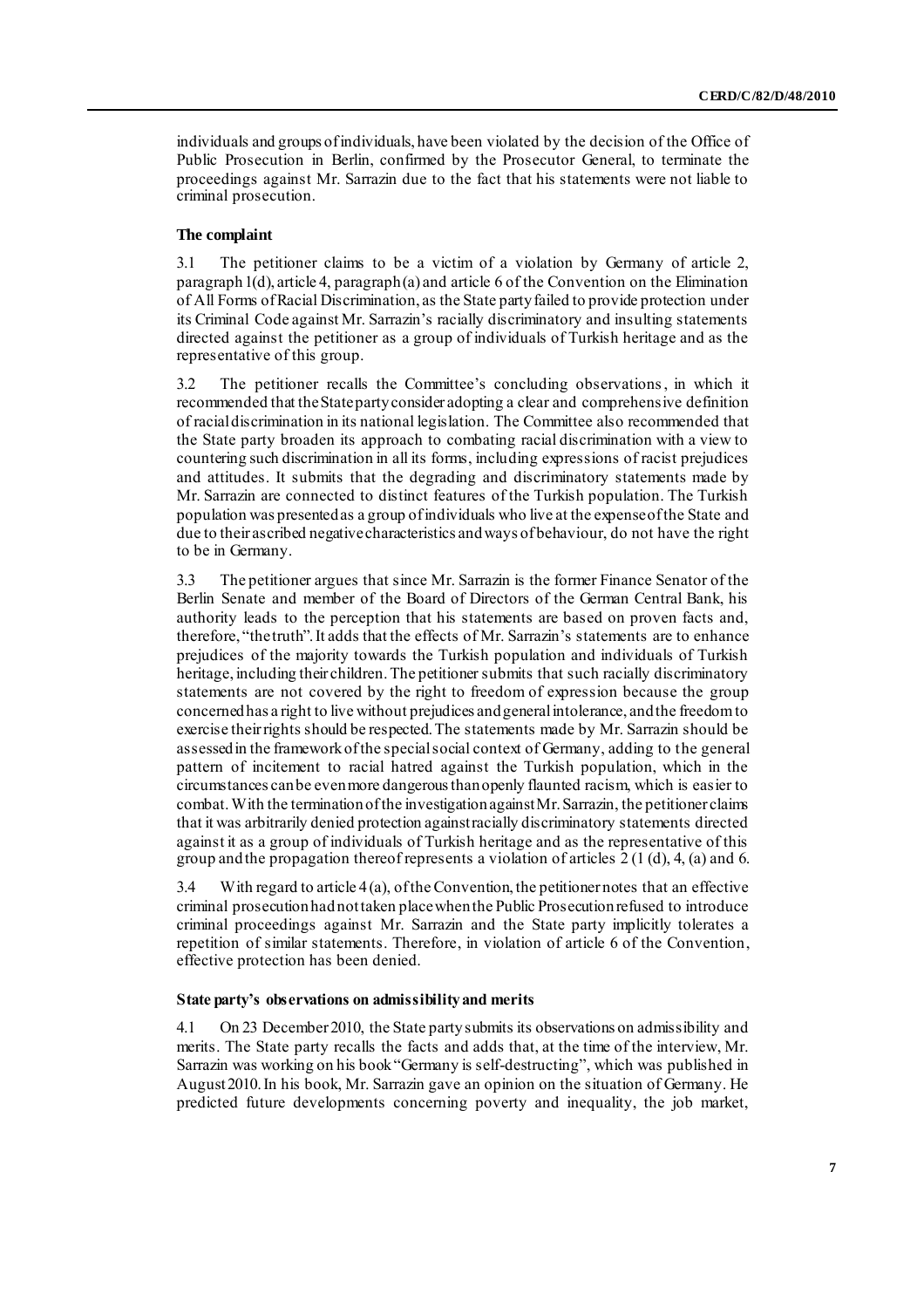individuals and groups of individuals, have been violated by the decision of the Office of Public Prosecution in Berlin, confirmed by the Prosecutor General, to terminate the proceedings against Mr. Sarrazin due to the fact that his statements were not liable to criminal prosecution.

#### **The complaint**

3.1 The petitioner claims to be a victim of a violation by Germany of article 2, paragraph 1(d), article 4, paragraph (a) and article 6 of the Convention on the Elimination of All Forms of Racial Discrimination, as the State party failed to provide protection under its Criminal Code against Mr. Sarrazin's racially discriminatory and insulting statements directed against the petitioner as a group of individuals of Turkish heritage and as the representative of this group.

3.2 The petitioner recalls the Committee's concluding observations, in which it recommended that the State party consider adopting a clear and comprehensive definition of racial discrimination in its national legislation. The Committee also recommended that the State party broaden its approach to combating racial discrimination with a view to countering such discrimination in all its forms, including expressions of racist prejudices and attitudes. It submits that the degrading and discriminatory statements made by Mr. Sarrazin are connected to distinct features of the Turkish population. The Turkish population was presented as a group of individuals who live at the expense of the State and due to their ascribed negative characteristics and ways of behaviour, do not have the right to be in Germany.

3.3 The petitioner argues that since Mr. Sarrazin is the former Finance Senator of the Berlin Senate and member of the Board of Directors of the German Central Bank, his authority leads to the perception that his statements are based on proven facts and, therefore, "the truth". It adds that the effects of Mr. Sarrazin's statements are to enhance prejudices of the majority towards the Turkish population and individuals of Turkish heritage, including their children. The petitioner submits that such racially discriminatory statements are not covered by the right to freedom of expression because the group concerned has a right to live without prejudices and general intolerance, and the freedom to exercise their rights should be respected. The statements made by Mr. Sarrazin should be assessed in the framework of the special social context of Germany, adding to the general pattern of incitement to racial hatred against the Turkish population, which in the circumstances can be even more dangerous than openly flaunted racism, which is easier to combat.With the termination of the investigation against Mr. Sarrazin, the petitioner claims that it was arbitrarily denied protection against racially discriminatory statements directed against it as a group of individuals of Turkish heritage and as the representative of this group and the propagation thereof represents a violation of articles  $2(1(1))$ , 4, (a) and 6.

3.4 With regard to article 4 (a), of the Convention, the petitioner notes that an effective criminal prosecution hadnot taken place when the Public Prosecution refused to introduce criminal proceedings against Mr. Sarrazin and the State party implicitly tolerates a repetition of similar statements. Therefore, in violation of article 6 of the Convention, effective protection has been denied.

#### **State party's observations on admissibility and merits**

4.1 On 23 December 2010, the State party submits its observations on admissibility and merits. The State party recalls the facts and adds that, at the time of the interview, Mr. Sarrazin was working on his book "Germany is self-destructing", which was published in August2010. In his book, Mr. Sarrazin gave an opinion on the situation of Germany. He predicted future developments concerning poverty and inequality, the job market,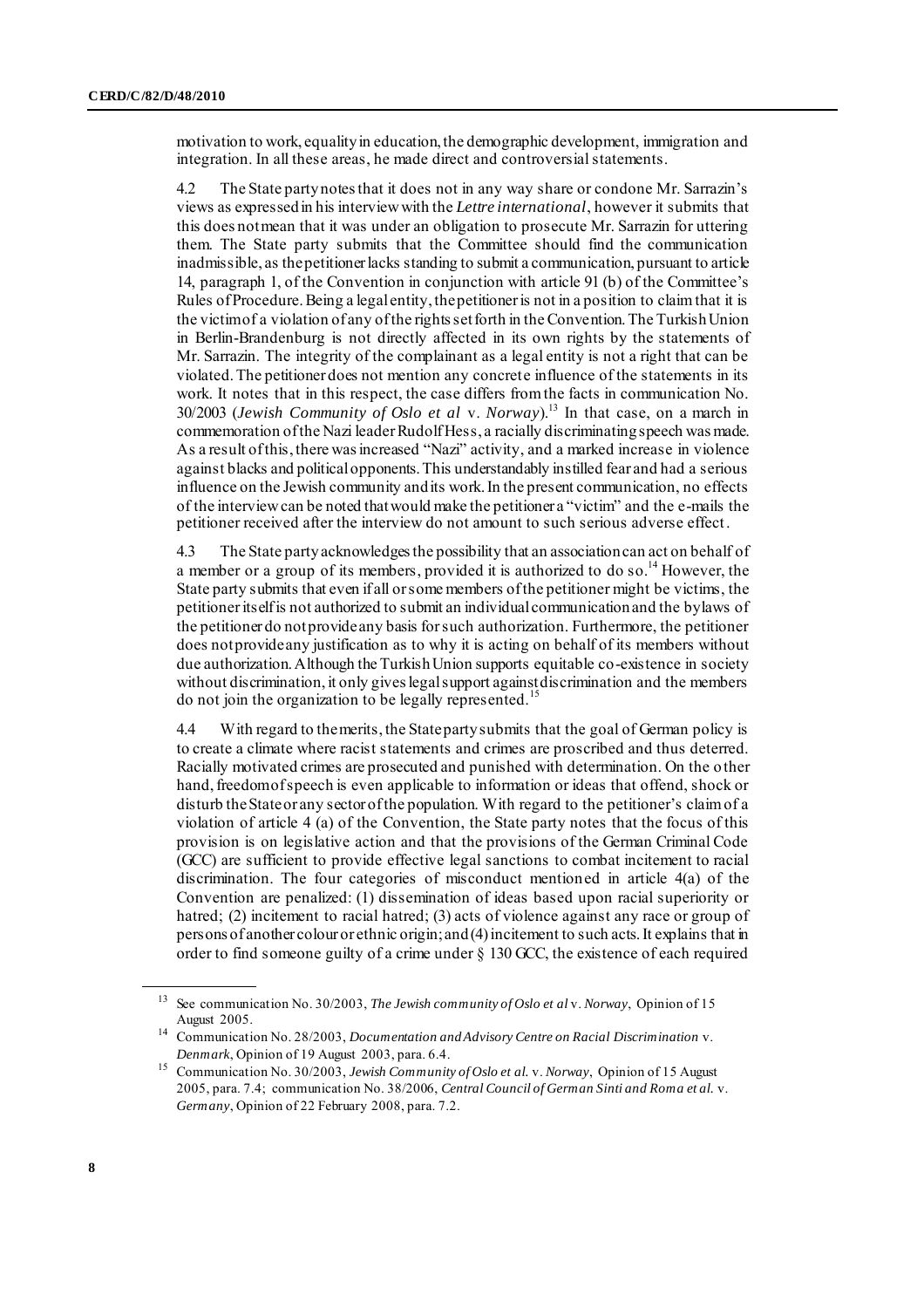motivation to work, equality in education, the demographic development, immigration and integration. In all these areas, he made direct and controversial statements.

4.2 The State party notes that it does not in any way share or condone Mr. Sarrazin's views as expressed in his interview with the *Lettre international*, however it submits that this does not mean that it was under an obligation to prosecute Mr. Sarrazin for uttering them. The State party submits that the Committee should find the communication inadmissible, as the petitioner lacks standing to submit a communication, pursuant to article 14, paragraph 1, of the Convention in conjunction with article 91 (b) of the Committee's Rules of Procedure. Being a legal entity, the petitioner is not in a position to claim that it is the victim of a violation of any of the rights set forth in the Convention. The Turkish Union in Berlin-Brandenburg is not directly affected in its own rights by the statements of Mr. Sarrazin. The integrity of the complainant as a legal entity is not a right that can be violated. The petitioner does not mention any concrete influence of the statements in its work. It notes that in this respect, the case differs from the facts in communication No. 30/2003 (*Jewish Community of Oslo et al* v. *Norway*). <sup>13</sup> In that case, on a march in commemoration of the Nazi leader Rudolf Hess, a racially discriminating speech was made. As a result of this, there was increased "Nazi" activity, and a marked increase in violence against blacks and political opponents. This understandably instilled fear and had a serious influence on the Jewish community and its work. In the present communication, no effects of the interview can be noted that would make the petitioner a "victim" and the e-mails the petitioner received after the interview do not amount to such serious adverse effect.

4.3 The State party acknowledges the possibility that an association can act on behalf of a member or a group of its members, provided it is authorized to do so.<sup>14</sup> However, the State party submits that even if all or some members of the petitioner might be victims, the petitioner itself is not authorized to submit an individual communication and the bylaws of the petitioner do not provide any basis for such authorization. Furthermore, the petitioner does not provide any justification as to why it is acting on behalf of its members without due authorization. Although the Turkish Union supports equitable co-existence in society without discrimination, it only gives legal support against discrimination and the members do not join the organization to be legally represented.<sup>15</sup>

4.4 With regard to the merits, the State party submits that the goal of German policy is to create a climate where racist statements and crimes are proscribed and thus deterred. Racially motivated crimes are prosecuted and punished with determination. On the other hand, freedom of speech is even applicable to information or ideas that offend, shock or disturb the State or any sector of the population. With regard to the petitioner's claim of a violation of article 4 (a) of the Convention, the State party notes that the focus of this provision is on legislative action and that the provisions of the German Criminal Code (GCC) are sufficient to provide effective legal sanctions to combat incitement to racial discrimination. The four categories of misconduct mentioned in article 4(a) of the Convention are penalized: (1) dissemination of ideas based upon racial superiority or hatred; (2) incitement to racial hatred; (3) acts of violence against any race or group of persons of another colour or ethnic origin; and (4) incitement to such acts. It explains that in order to find someone guilty of a crime under § 130 GCC, the existence of each required

<sup>13</sup> See communication No. 30/2003, *The Jewish community of Oslo et al* v. *Norway*, Opinion of 15 August 2005.

<sup>14</sup> Communication No. 28/2003, *Documentation and Advisory Centre on Racial Discrimination* v. *Denmark*, Opinion of 19 August 2003, para. 6.4.

<sup>15</sup> Communication No. 30/2003, *Jewish Community of Oslo et al.* v. *Norway*, Opinion of 15 August 2005, para. 7.4; communication No. 38/2006, *Central Council of German Sinti and Roma et al.* v. *Germany*, Opinion of 22 February 2008, para. 7.2.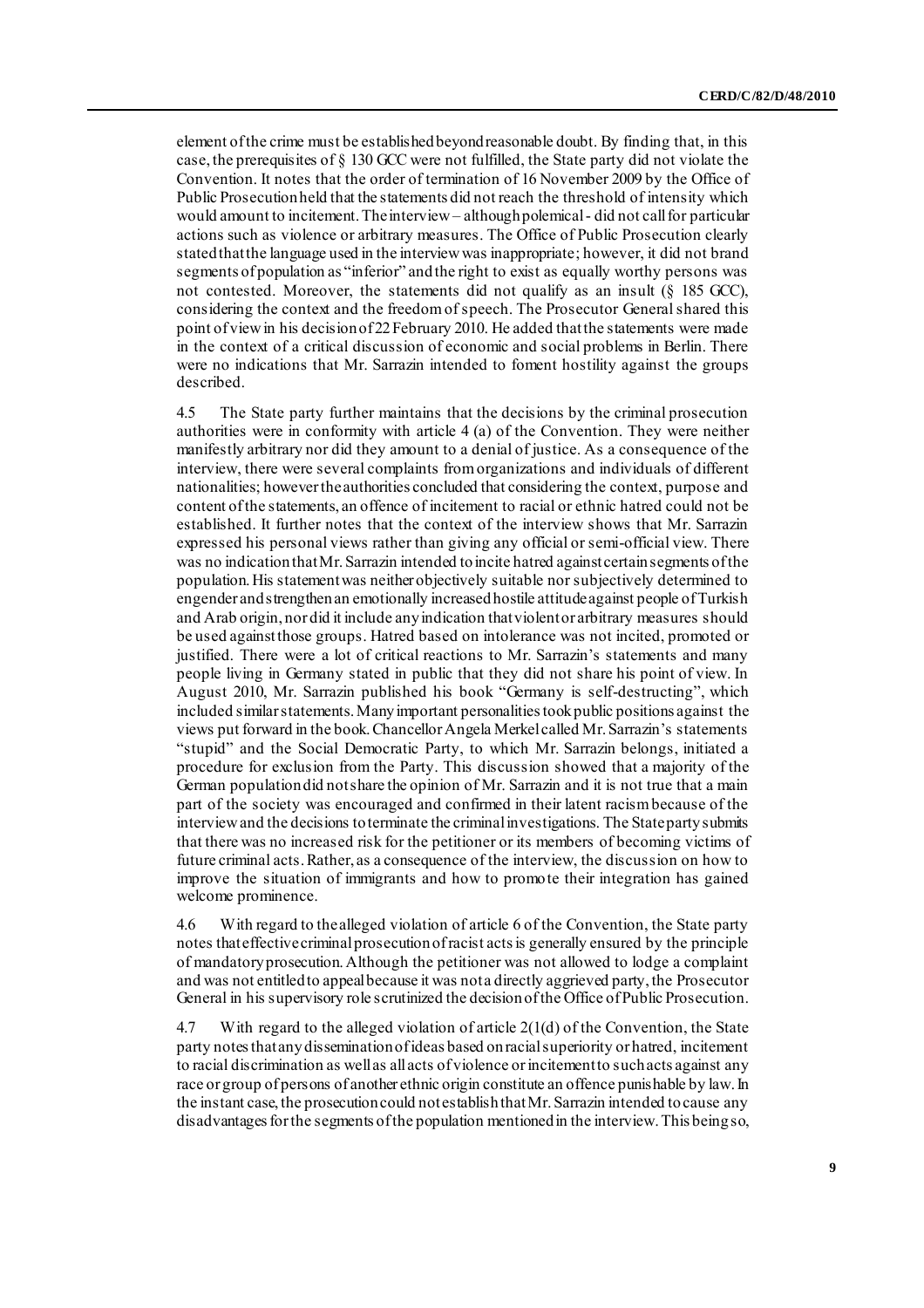element of the crime must be established beyond reasonable doubt. By finding that, in this case, the prerequisites of § 130 GCC were not fulfilled, the State party did not violate the Convention. It notes that the order of termination of 16 November 2009 by the Office of Public Prosecution held that the statements did not reach the threshold of intensity which would amount to incitement. The interview – although polemical- did not call for particular actions such as violence or arbitrary measures. The Office of Public Prosecution clearly stated that the language used in the interview was inappropriate; however, it did not brand segments of population as "inferior" and the right to exist as equally worthy persons was not contested. Moreover, the statements did not qualify as an insult (§ 185 GCC), considering the context and the freedom of speech. The Prosecutor General shared this point of view in his decision of 22 February 2010. He added that the statements were made in the context of a critical discussion of economic and social problems in Berlin. There were no indications that Mr. Sarrazin intended to foment hostility against the groups described.

4.5 The State party further maintains that the decisions by the criminal prosecution authorities were in conformity with article 4 (a) of the Convention. They were neither manifestly arbitrary nor did they amount to a denial of justice. As a consequence of the interview, there were several complaints from organizations and individuals of different nationalities; however the authorities concluded that considering the context, purpose and content of the statements, an offence of incitement to racial or ethnic hatred could not be established. It further notes that the context of the interview shows that Mr. Sarrazin expressed his personal views rather than giving any official or semi-official view. There was no indication that Mr. Sarrazin intended to incite hatred against certain segments of the population. His statement was neither objectively suitable nor subjectively determined to engender and strengthen an emotionally increased hostile attitude against people of Turkish and Arab origin, nor did it include any indication that violent or arbitrary measures should be used against those groups. Hatred based on intolerance was not incited, promoted or justified. There were a lot of critical reactions to Mr. Sarrazin's statements and many people living in Germany stated in public that they did not share his point of view. In August 2010, Mr. Sarrazin published his book "Germany is self-destructing", which included similar statements. Many important personalities took public positions against the views put forward in the book. Chancellor Angela Merkel called Mr. Sarrazin's statements "stupid" and the Social Democratic Party, to which Mr. Sarrazin belongs, initiated a procedure for exclusion from the Party. This discussion showed that a majority of the German population did not share the opinion of Mr. Sarrazin and it is not true that a main part of the society was encouraged and confirmed in their latent racism because of the interview and the decisions to terminate the criminal investigations. The State party submits that there was no increased risk for the petitioner or its members of becoming victims of future criminal acts. Rather, as a consequence of the interview, the discussion on how to improve the situation of immigrants and how to promote their integration has gained welcome prominence.

4.6 With regard to the alleged violation of article 6 of the Convention, the State party notes that effective criminal prosecution of racist acts is generally ensured by the principle of mandatory prosecution. Although the petitioner was not allowed to lodge a complaint and was not entitled to appeal because it was not a directly aggrieved party, the Prosecutor General in his supervisory role scrutinized the decision of the Office of Public Prosecution.

4.7 With regard to the alleged violation of article 2(1(d) of the Convention, the State party notes that any dissemination of ideas based on racial superiority or hatred, incitement to racial discrimination as well as all acts of violence or incitement to such acts against any race or group of persons of another ethnic origin constitute an offence punishable by law. In the instant case, the prosecution could not establish that Mr. Sarrazin intended to cause any disadvantages for the segments of the population mentioned in the interview. This being so,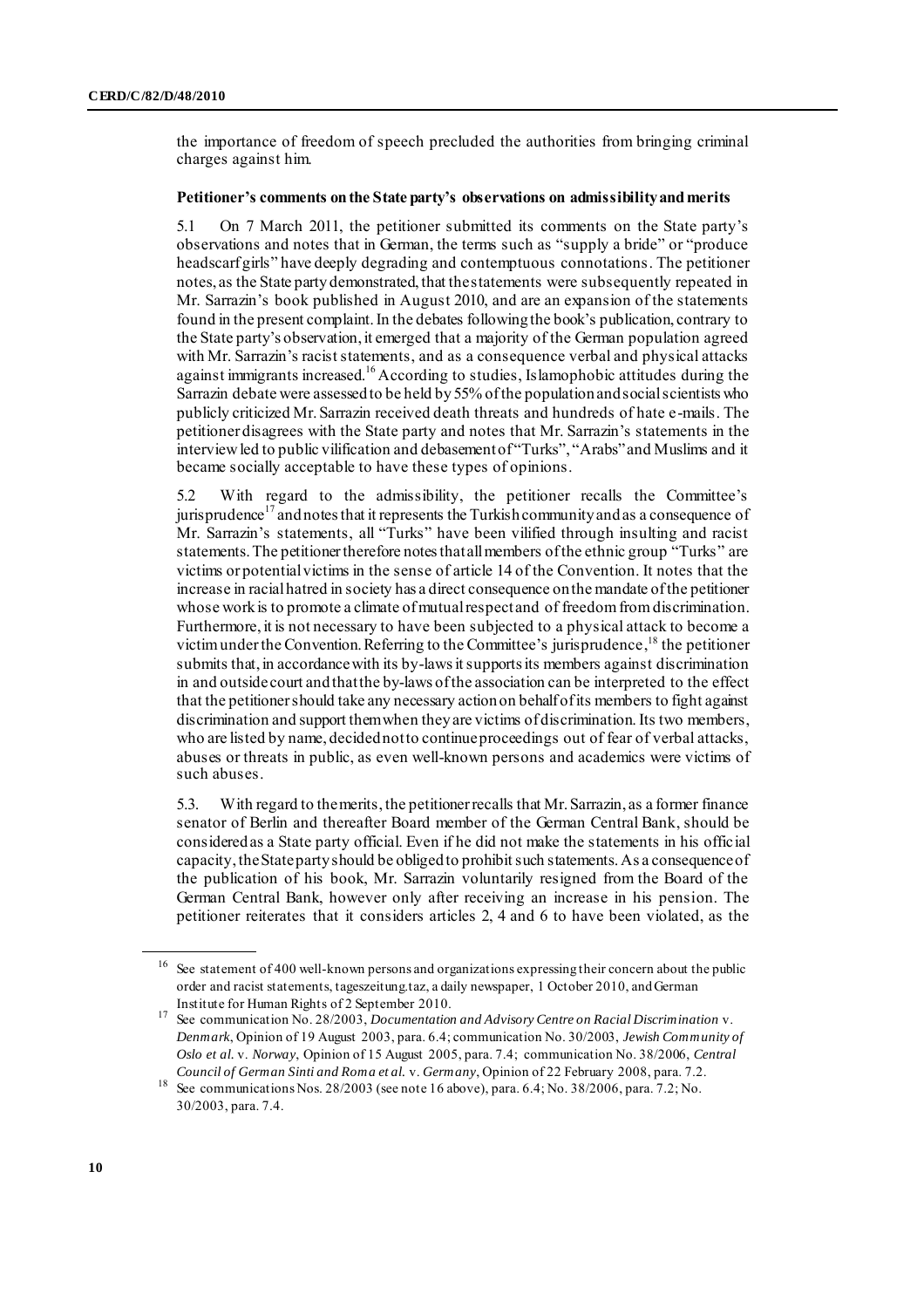the importance of freedom of speech precluded the authorities from bringing criminal charges against him.

#### **Petitioner's comments on the State party's observations on admissibility and merits**

5.1 On 7 March 2011, the petitioner submitted its comments on the State party's observations and notes that in German, the terms such as "supply a bride" or "produce headscarf girls" have deeply degrading and contemptuous connotations. The petitioner notes, as the State party demonstrated, that the statements were subsequently repeated in Mr. Sarrazin's book published in August 2010, and are an expansion of the statements found in the present complaint. In the debates following the book's publication, contrary to the State party's observation, it emerged that a majority of the German population agreed with Mr. Sarrazin's racist statements, and as a consequence verbal and physical attacks against immigrants increased.<sup>16</sup> According to studies, Islamophobic attitudes during the Sarrazin debate were assessed to be held by 55% of the population and social scientists who publicly criticized Mr. Sarrazin received death threats and hundreds of hate e-mails. The petitioner disagrees with the State party and notes that Mr. Sarrazin's statements in the interview led to public vilification and debasement of "Turks", "Arabs" and Muslims and it became socially acceptable to have these types of opinions.

5.2 With regard to the admissibility, the petitioner recalls the Committee's jurisprudence $^{17}$  and notes that it represents the Turkish community and as a consequence of Mr. Sarrazin's statements, all "Turks" have been vilified through insulting and racist statements. The petitioner therefore notes that all members of the ethnic group "Turks" are victims or potential victims in the sense of article 14 of the Convention. It notes that the increase in racial hatred in society has a direct consequence on the mandate of the petitioner whose work is to promote a climate of mutual respect and of freedom fromdiscrimination. Furthermore, it is not necessary to have been subjected to a physical attack to become a victim under the Convention. Referring to the Committee's jurisprudence, <sup>18</sup> the petitioner submits that, in accordance with its by-laws it supports its members against discrimination in and outside court andthat the by-laws of the association can be interpreted to the effect that the petitioner should take any necessary action on behalf of its members to fight against discrimination and support them when they are victims of discrimination. Its two members, who are listed by name, decided not to continue proceedings out of fear of verbal attacks, abuses or threats in public, as even well-known persons and academics were victims of such abuses.

5.3. With regard to the merits, the petitioner recalls that Mr. Sarrazin, as a former finance senator of Berlin and thereafter Board member of the German Central Bank, should be considered as a State party official. Even if he did not make the statements in his official capacity, the State party should be obliged to prohibit such statements. As a consequence of the publication of his book, Mr. Sarrazin voluntarily resigned from the Board of the German Central Bank, however only after receiving an increase in his pension. The petitioner reiterates that it considers articles 2, 4 and 6 to have been violated, as the

<sup>16</sup> See statement of 400 well-known persons and organizations expressing their concern about the public order and racist statements, tageszeitung.taz, a daily newspaper, 1 October 2010, and German Institute for Human Rights of 2 September 2010.

<sup>17</sup> See communication No. 28/2003, *Documentation and Advisory Centre on Racial Discrimination* v. *Denmark*, Opinion of 19 August 2003, para. 6.4; communication No. 30/2003, *Jewish Community of Oslo et al.* v. *Norway*, Opinion of 15 August 2005, para. 7.4; communication No. 38/2006, *Central Council of German Sinti and Roma et al.* v. *Germany*, Opinion of 22 February 2008, para. 7.2.

<sup>18</sup> See communications Nos. 28/2003 (see note 16 above), para. 6.4; No. 38/2006, para. 7.2; No. 30/2003, para. 7.4.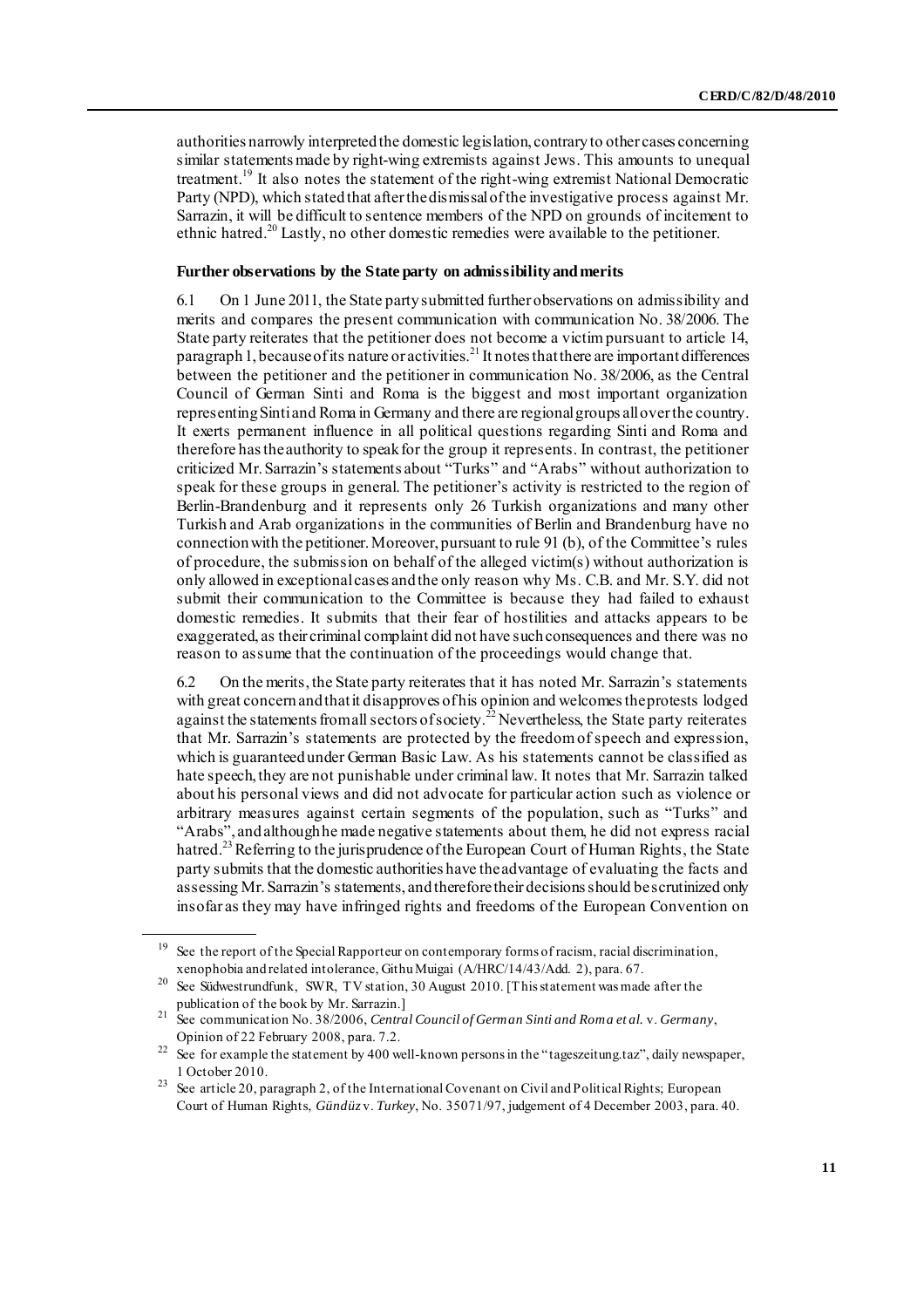authorities narrowly interpreted the domestic legislation, contrary to other cases concerning similar statements made by right-wing extremists against Jews. This amounts to unequal treatment.<sup>19</sup> It also notes the statement of the right-wing extremist National Democratic Party (NPD), which stated that after the dismissal of the investigative process against Mr. Sarrazin, it will be difficult to sentence members of the NPD on grounds of incitement to ethnic hatred.<sup>20</sup> Lastly, no other domestic remedies were available to the petitioner.

#### **Further observations by the State party on admissibility and merits**

6.1 On 1 June 2011, the State party submitted further observations on admissibility and merits and compares the present communication with communication No. 38/2006. The State party reiterates that the petitioner does not become a victim pursuant to article 14, paragraph 1, because of its nature or activities.<sup>21</sup> It notes that there are important differences between the petitioner and the petitioner in communication No. 38/2006, as the Central Council of German Sinti and Roma is the biggest and most important organization representing Sinti and Roma in Germany and there are regional groups all over the country. It exerts permanent influence in all political questions regarding Sinti and Roma and therefore has the authority to speak for the group it represents. In contrast, the petitioner criticized Mr. Sarrazin's statements about "Turks" and "Arabs" without authorization to speak for these groups in general. The petitioner's activity is restricted to the region of Berlin-Brandenburg and it represents only 26 Turkish organizations and many other Turkish and Arab organizations in the communities of Berlin and Brandenburg have no connection with the petitioner. Moreover, pursuant to rule 91 (b), of the Committee's rules of procedure, the submission on behalf of the alleged victim(s) without authorization is only allowed in exceptional cases and the only reason why Ms. C.B. and Mr. S.Y. did not submit their communication to the Committee is because they had failed to exhaust domestic remedies. It submits that their fear of hostilities and attacks appears to be exaggerated, as their criminal complaint did not have such consequences and there was no reason to assume that the continuation of the proceedings would change that.

6.2 On the merits, the State party reiterates that it has noted Mr. Sarrazin's statements with great concern and that it disapproves of his opinion and welcomes the protests lodged against the statements from all sectors of society.<sup>22</sup> Nevertheless, the State party reiterates that Mr. Sarrazin's statements are protected by the freedom of speech and expression, which is guaranteed under German Basic Law. As his statements cannot be classified as hate speech, they are not punishable under criminal law. It notes that Mr. Sarrazin talked about his personal views and did not advocate for particular action such as violence or arbitrary measures against certain segments of the population, such as "Turks" and "Arabs", and although he made negative statements about them, he did not express racial hatred.<sup>23</sup> Referring to the jurisprudence of the European Court of Human Rights, the State party submits that the domestic authorities have the advantage of evaluating the facts and assessing Mr. Sarrazin's statements, and therefore their decisions should be scrutinized only insofar as they may have infringed rights and freedoms of the European Convention on

See the report of the Special Rapporteur on contemporary forms of racism, racial discrimination, xenophobia and related intolerance, Githu Muigai (A/HRC/14/43/Add. 2), para. 67.

See Südwestrundfunk, SWR, TV station, 30 August 2010. [This statement was made after the publication of the book by Mr. Sarrazin.]

<sup>21</sup> See communication No. 38/2006, *Central Council of German Sinti and Roma et al.* v. *Germany*, Opinion of 22 February 2008, para. 7.2.

<sup>&</sup>lt;sup>22</sup> See for example the statement by 400 well-known persons in the "tageszeitung.taz", daily newspaper, 1 October 2010.

<sup>&</sup>lt;sup>23</sup> See article 20, paragraph 2, of the International Covenant on Civil and Political Rights; European Court of Human Rights, *Gündüz* v. *Turkey*, No. 35071/97, judgement of 4 December 2003, para. 40.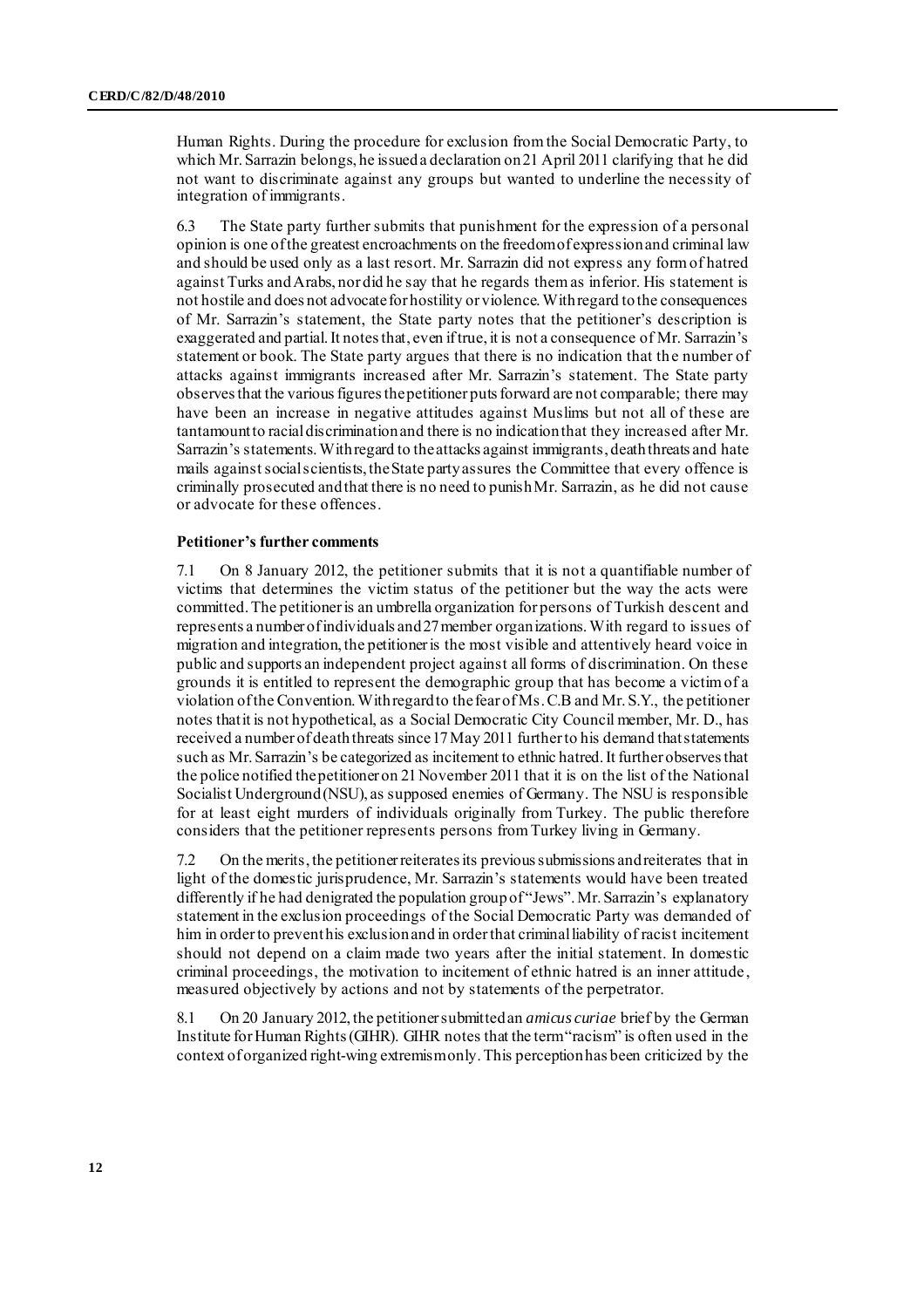Human Rights. During the procedure for exclusion from the Social Democratic Party, to which Mr. Sarrazin belongs, he issued a declaration on 21 April 2011 clarifying that he did not want to discriminate against any groups but wanted to underline the necessity of integration of immigrants.

6.3 The State party further submits that punishment for the expression of a personal opinion is one of the greatest encroachments on the freedom of expression and criminal law and should be used only as a last resort. Mr. Sarrazin did not express any form of hatred against Turks and Arabs, nor did he say that he regards them as inferior. His statement is not hostile and does not advocate for hostility or violence. With regard to the consequences of Mr. Sarrazin's statement, the State party notes that the petitioner's description is exaggerated and partial. It notes that, even if true, it is not a consequence of Mr. Sarrazin's statement or book. The State party argues that there is no indication that the number of attacks against immigrants increased after Mr. Sarrazin's statement. The State party observes that the various figures the petitioner puts forward are not comparable; there may have been an increase in negative attitudes against Muslims but not all of these are tantamount to racial discrimination and there is no indication that they increased after Mr. Sarrazin's statements. With regard to the attacks against immigrants, death threats and hate mails against social scientists, the State party assures the Committee that every offence is criminally prosecuted and that there is no need to punish Mr. Sarrazin, as he did not cause or advocate for these offences.

#### **Petitioner's further comments**

7.1 On 8 January 2012, the petitioner submits that it is not a quantifiable number of victims that determines the victim status of the petitioner but the way the acts were committed. The petitioner is an umbrella organization for persons of Turkish descent and represents a number of individuals and 27 member organizations. With regard to issues of migration and integration, the petitioner is the most visible and attentively heard voice in public and supports an independent project against all forms of discrimination. On these grounds it is entitled to represent the demographic group that has become a victim of a violation of the Convention. With regard to the fear of Ms. C.B and Mr. S.Y., the petitioner notes that it is not hypothetical, as a Social Democratic City Council member, Mr. D., has received a number of death threats since 17 May 2011 further to his demand that statements such as Mr. Sarrazin's be categorized as incitement to ethnic hatred. It further observes that the police notified the petitioner on 21 November 2011 that it is on the list of the National Socialist Underground (NSU), as supposed enemies of Germany. The NSU is responsible for at least eight murders of individuals originally from Turkey. The public therefore considers that the petitioner represents persons from Turkey living in Germany.

7.2 On the merits, the petitioner reiterates its previous submissions and reiterates that in light of the domestic jurisprudence, Mr. Sarrazin's statements would have been treated differently if he had denigrated the population group of "Jews". Mr. Sarrazin's explanatory statement in the exclusion proceedings of the Social Democratic Party was demanded of him in order to prevent his exclusion and in order that criminal liability of racist incitement should not depend on a claim made two years after the initial statement. In domestic criminal proceedings, the motivation to incitement of ethnic hatred is an inner attitude , measured objectively by actions and not by statements of the perpetrator.

8.1 On 20 January 2012, the petitioner submittedan *amicus curiae* brief by the German Institute for Human Rights (GIHR). GIHR notes that the term "racism" is often used in the context of organized right-wing extremism only. This perception has been criticized by the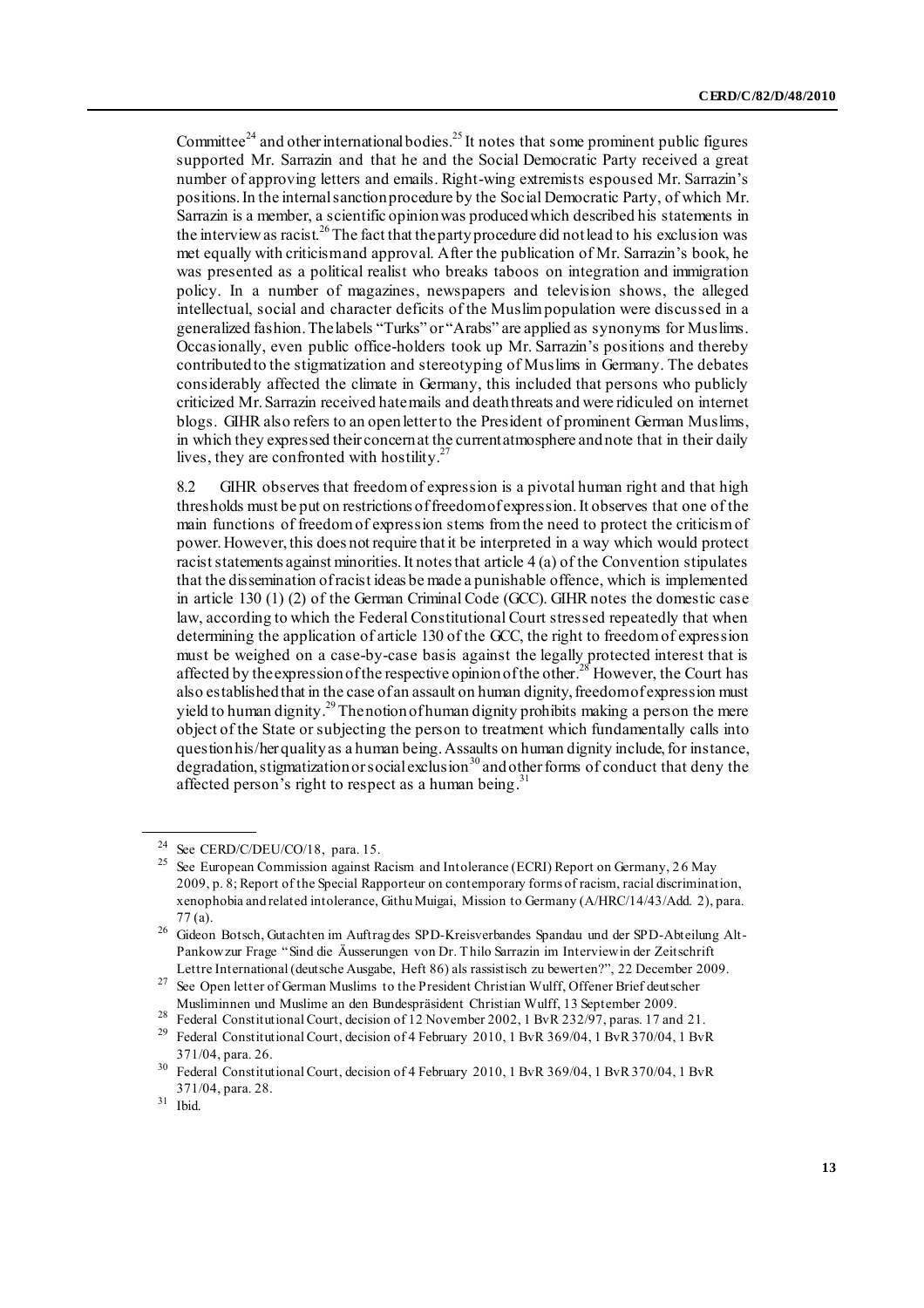Committee<sup>24</sup> and other international bodies.<sup>25</sup> It notes that some prominent public figures supported Mr. Sarrazin and that he and the Social Democratic Party received a great number of approving letters and emails. Right-wing extremists espoused Mr. Sarrazin's positions. In the internal sanction procedure by the Social Democratic Party, of which Mr. Sarrazin is a member, a scientific opinion was produced which described his statements in the interview as racist.<sup>26</sup> The fact that the party procedure did not lead to his exclusion was met equally with criticism and approval. After the publication of Mr. Sarrazin's book, he was presented as a political realist who breaks taboos on integration and immigration policy. In a number of magazines, newspapers and television shows, the alleged intellectual, social and character deficits of the Muslim population were discussed in a generalized fashion. The labels "Turks" or "Arabs" are applied as synonyms for Muslims. Occasionally, even public office-holders took up Mr. Sarrazin's positions and thereby contributed to the stigmatization and stereotyping of Muslims in Germany. The debates considerably affected the climate in Germany, this included that persons who publicly criticized Mr. Sarrazin received hate mails and death threats and were ridiculed on internet blogs. GIHR also refers to an open letter to the President of prominent German Muslims, in which they expressed their concern at the current atmosphere and note that in their daily lives, they are confronted with hostility.<sup>27</sup>

8.2 GIHR observes that freedom of expression is a pivotal human right and that high thresholds must be put on restrictions offreedom of expression. It observes that one of the main functions of freedom of expression stems from the need to protect the criticism of power. However, this does not require that it be interpreted in a way which would protect racist statements against minorities. It notes that article 4 (a) of the Convention stipulates that the dissemination of racist ideas be made a punishable offence, which is implemented in article 130 (1) (2) of the German Criminal Code (GCC). GIHR notes the domestic case law, according to which the Federal Constitutional Court stressed repeatedly that when determining the application of article 130 of the GCC, the right to freedom of expression must be weighed on a case-by-case basis against the legally protected interest that is affected by the expression of the respective opinion of the other.<sup>28</sup> However, the Court has also established that in the case of an assault on human dignity, freedom of expression must yield to human dignity.<sup>29</sup> The notion of human dignity prohibits making a person the mere object of the State or subjecting the person to treatment which fundamentally calls into question his/her quality as a human being. Assaults on human dignity include, for instance, degradation, stigmatization or social exclusion<sup>30</sup> and other forms of conduct that deny the affected person's right to respect as a human being.<sup>31</sup>

<sup>&</sup>lt;sup>24</sup> See CERD/C/DEU/CO/18, para. 15.

<sup>25</sup> See European Commission against Racism and Intolerance (ECRI) Report on Germany, 2 6 May 2009, p. 8; Report of the Special Rapporteur on contemporary forms of racism, racial discrimination, xenophobia and related intolerance, Githu Muigai, Mission to Germany (A/HRC/14/43/Add. 2), para. 77 (a).

<sup>26</sup> Gideon Botsch, Gutachten im Auftrag des SPD-Kreisverbandes Spandau und der SPD-Abteilung Alt-Pankow zur Frage "Sind die Äusserungen von Dr. Thilo Sarrazin im Interview in der Zeitschrift Lettre International (deutsche Ausgabe, Heft 86) als rassistisch zu bewerten?", 22 December 2009.

<sup>&</sup>lt;sup>27</sup> See Open letter of German Muslims to the President Christian Wulff, Offener Brief deutscher Musliminnen und Muslime an den Bundespräsident Christian Wulff, 13 September 2009.

<sup>&</sup>lt;sup>28</sup> Federal Constitutional Court, decision of 12 November 2002, 1 BvR 232/97, paras. 17 and 21.

<sup>&</sup>lt;sup>29</sup> Federal Constitutional Court, decision of 4 February 2010, 1 BvR 369/04, 1 BvR 370/04, 1 BvR 371/04, para. 26.

<sup>&</sup>lt;sup>30</sup> Federal Constitutional Court, decision of 4 February 2010, 1 BvR 369/04, 1 BvR 370/04, 1 BvR 371/04, para. 28.

 $31$  Ibid.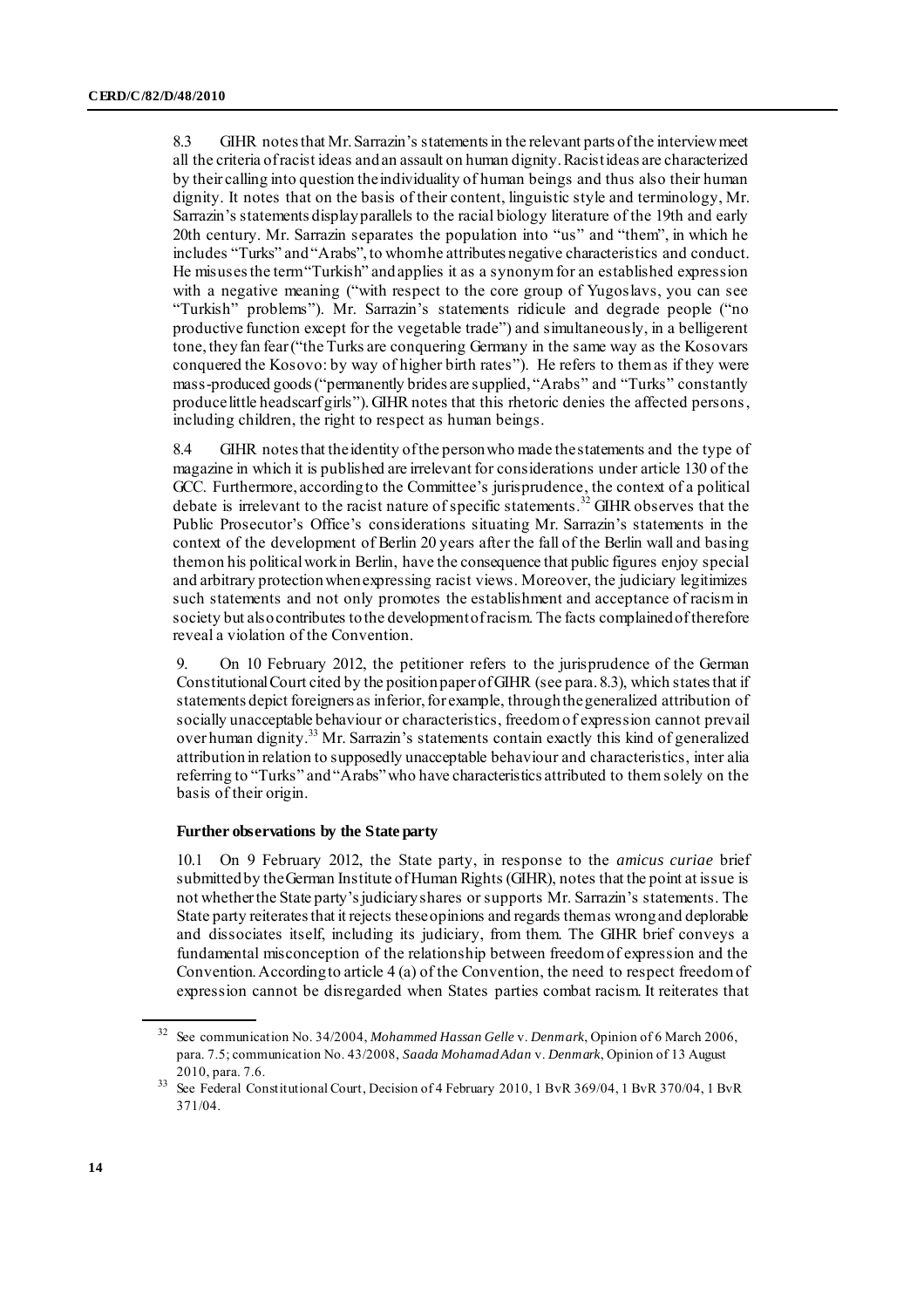8.3 GIHR notes that Mr. Sarrazin's statements in the relevant parts of the interview meet all the criteria of racist ideas and an assault on human dignity. Racist ideas are characterized by their calling into question the individuality of human beings and thus also their human dignity. It notes that on the basis of their content, linguistic style and terminology, Mr. Sarrazin's statements display parallels to the racial biology literature of the 19th and early 20th century. Mr. Sarrazin separates the population into "us" and "them", in which he includes "Turks" and "Arabs", to whom he attributes negative characteristics and conduct. He misuses the term "Turkish" and applies it as a synonym for an established expression with a negative meaning ("with respect to the core group of Yugoslavs, you can see "Turkish" problems"). Mr. Sarrazin's statements ridicule and degrade people ("no productive function except for the vegetable trade") and simultaneously, in a belligerent tone, they fan fear ("the Turks are conquering Germany in the same way as the Kosovars conquered the Kosovo: by way of higher birth rates"). He refers to them as if they were mass-produced goods ("permanently brides are supplied, "Arabs" and "Turks" constantly produce little headscarf girls"). GIHR notes that this rhetoric denies the affected persons, including children, the right to respect as human beings.

8.4 GIHR notes that the identity of the person who made the statements and the type of magazine in which it is published are irrelevant for considerations under article 130 of the GCC. Furthermore, according to the Committee's jurisprudence, the context of a political debate is irrelevant to the racist nature of specific statements.<sup>32</sup> GIHR observes that the Public Prosecutor's Office's considerations situating Mr. Sarrazin's statements in the context of the development of Berlin 20 years after the fall of the Berlin wall and basing them on his political work in Berlin, have the consequence that public figures enjoy special and arbitrary protection when expressing racist views. Moreover, the judiciary legitimizes such statements and not only promotes the establishment and acceptance of racism in society but also contributes to the development of racism. The facts complained of therefore reveal a violation of the Convention.

9. On 10 February 2012, the petitioner refers to the jurisprudence of the German Constitutional Court cited by the position paper of GIHR (see para. 8.3), which states that if statements depict foreigners as inferior, for example, through the generalized attribution of socially unacceptable behaviour or characteristics, freedom of expression cannot prevail over human dignity.<sup>33</sup> Mr. Sarrazin's statements contain exactly this kind of generalized attribution in relation to supposedly unacceptable behaviour and characteristics, inter alia referring to "Turks" and "Arabs" who have characteristics attributed to them solely on the basis of their origin.

#### **Further observations by the State party**

10.1 On 9 February 2012, the State party, in response to the *amicus curiae* brief submitted by the German Institute of Human Rights (GIHR), notes that the point at issue is not whether the State party's judiciary shares or supports Mr. Sarrazin's statements. The State party reiterates that it rejects these opinions and regards them as wrong and deplorable and dissociates itself, including its judiciary, from them. The GIHR brief conveys a fundamental misconception of the relationship between freedom of expression and the Convention. According to article 4 (a) of the Convention, the need to respect freedom of expression cannot be disregarded when States parties combat racism. It reiterates that

<sup>32</sup> See communication No. 34/2004, *Mohammed Hassan Gelle* v. *Denmark*, Opinion of 6 March 2006, para. 7.5; communication No. 43/2008, *Saada Mohamad Adan* v. *Denmark*, Opinion of 13 August 2010, para. 7.6.

<sup>33</sup> See Federal Constitutional Court, Decision of 4 February 2010, 1 BvR 369/04, 1 BvR 370/04, 1 BvR 371/04.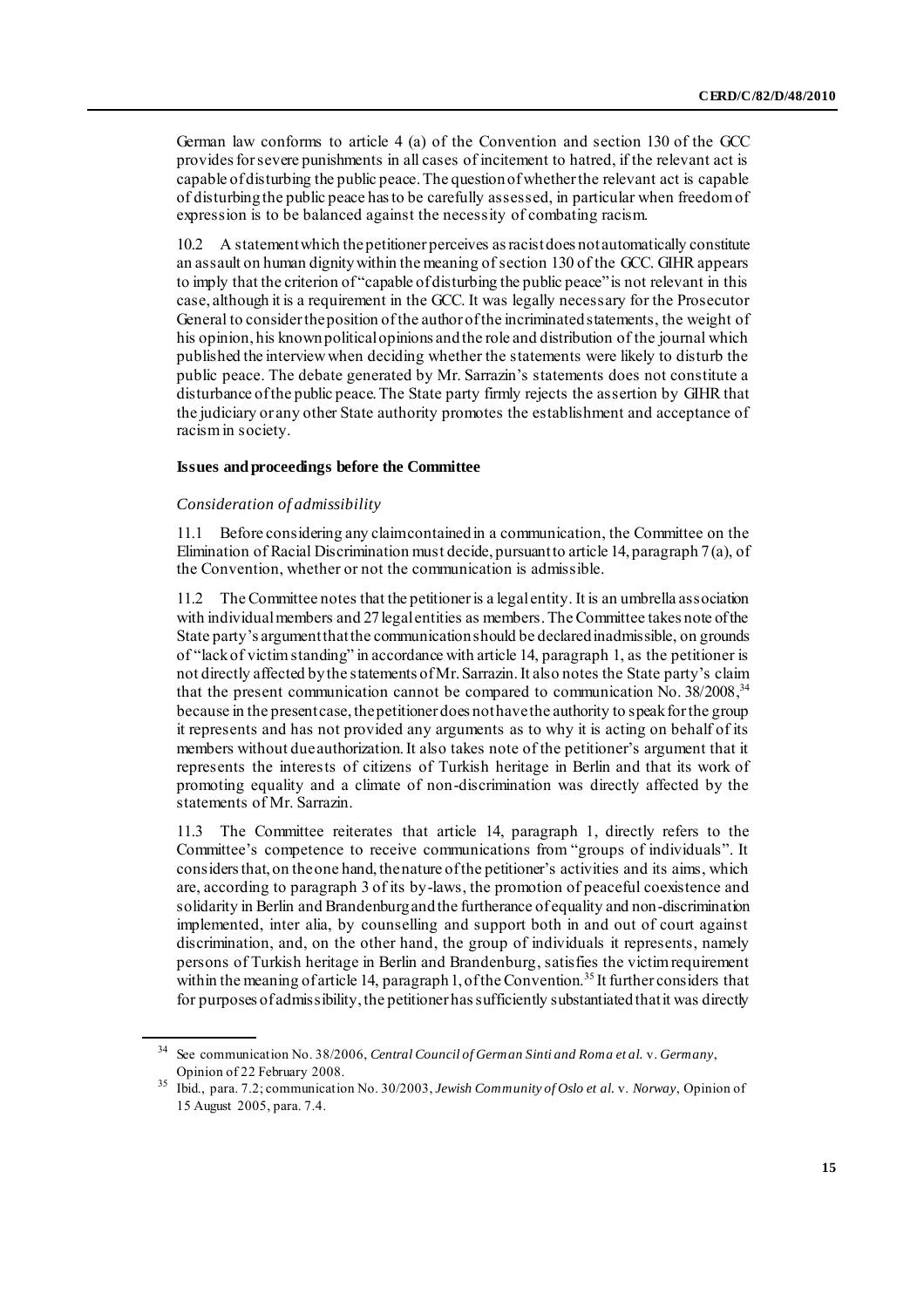German law conforms to article 4 (a) of the Convention and section 130 of the GCC provides for severe punishments in all cases of incitement to hatred, if the relevant act is capable of disturbing the public peace. The question of whether the relevant act is capable of disturbing the public peace has to be carefully assessed, in particular when freedom of expression is to be balanced against the necessity of combating racism.

10.2 A statement which the petitioner perceives as racist does not automatically constitute an assault on human dignity within the meaning of section 130 of the GCC. GIHR appears to imply that the criterion of "capable of disturbing the public peace" is not relevant in this case, although it is a requirement in the GCC. It was legally necessary for the Prosecutor General to consider the position of the author of the incriminated statements, the weight of his opinion, his known political opinions and the role and distribution of the journal which published the interview when deciding whether the statements were likely to disturb the public peace. The debate generated by Mr. Sarrazin's statements does not constitute a disturbance of the public peace. The State party firmly rejects the assertion by GIHR that the judiciary or any other State authority promotes the establishment and acceptance of racism in society.

#### **Issues and proceedings before the Committee**

#### *Consideration of admissibility*

11.1 Before considering any claim contained in a communication, the Committee on the Elimination of Racial Discrimination must decide, pursuant to article 14, paragraph 7 (a), of the Convention, whether or not the communication is admissible.

11.2 The Committee notes that the petitioner is a legal entity. It is an umbrella association with individual members and 27 legal entities as members. The Committee takes note of the State party's argument that the communication should be declared inadmissible, on grounds of "lack of victim standing" in accordance with article 14, paragraph 1, as the petitioner is not directly affected by the statements of Mr. Sarrazin. It also notes the State party's claim that the present communication cannot be compared to communication No. 38/2008,<sup>34</sup> because in the present case, the petitioner does not have the authority to speak for the group it represents and has not provided any arguments as to why it is acting on behalf of its members without due authorization. It also takes note of the petitioner's argument that it represents the interests of citizens of Turkish heritage in Berlin and that its work of promoting equality and a climate of non-discrimination was directly affected by the statements of Mr. Sarrazin.

11.3 The Committee reiterates that article 14, paragraph 1, directly refers to the Committee's competence to receive communications from "groups of individuals". It considers that, on the one hand, the nature of the petitioner's activities and its aims, which are, according to paragraph 3 of its by-laws, the promotion of peaceful coexistence and solidarity in Berlin and Brandenburg and the furtherance of equality and non-discrimination implemented, inter alia, by counselling and support both in and out of court against discrimination, and, on the other hand, the group of individuals it represents, namely persons of Turkish heritage in Berlin and Brandenburg, satisfies the victim requirement within the meaning of article 14, paragraph 1, of the Convention.<sup>35</sup> It further considers that for purposes of admissibility, the petitioner has sufficiently substantiated that it was directly

<sup>34</sup> See communication No. 38/2006, *Central Council of German Sinti and Roma et al.* v. *Germany*, Opinion of 22 February 2008.

<sup>35</sup> Ibid., para. 7.2; communication No. 30/2003, *Jewish Community of Oslo et al.* v. *Norway*, Opinion of 15 August 2005, para. 7.4.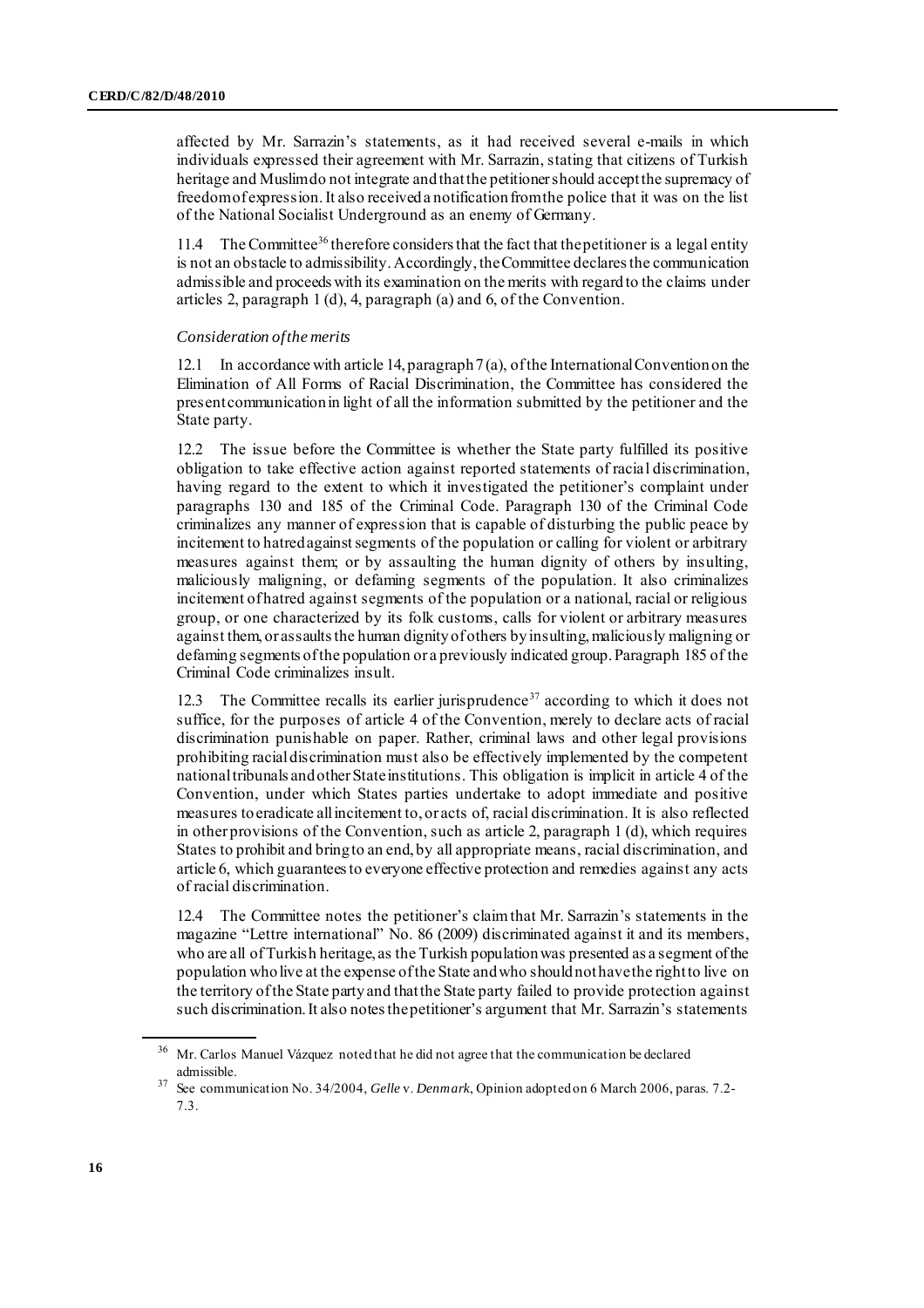affected by Mr. Sarrazin's statements, as it had received several e-mails in which individuals expressed their agreement with Mr. Sarrazin, stating that citizens of Turkish heritage and Muslim do not integrate and that the petitioner should accept the supremacy of freedom of expression. It also received a notification from the police that it was on the list of the National Socialist Underground as an enemy of Germany.

11.4 The Committee<sup>36</sup> therefore considers that the fact that the petitioner is a legal entity is not an obstacle to admissibility. Accordingly, the Committee declares the communication admissible and proceeds with its examination on the merits with regard to the claims under articles 2, paragraph 1 (d), 4, paragraph (a) and 6, of the Convention.

#### *Consideration of the merits*

12.1 In accordance with article 14, paragraph 7 (a), of the International Convention on the Elimination of All Forms of Racial Discrimination, the Committee has considered the present communication in light of all the information submitted by the petitioner and the State party.

12.2 The issue before the Committee is whether the State party fulfilled its positive obligation to take effective action against reported statements of racial discrimination, having regard to the extent to which it investigated the petitioner's complaint under paragraphs 130 and 185 of the Criminal Code. Paragraph 130 of the Criminal Code criminalizes any manner of expression that is capable of disturbing the public peace by incitement to hatred against segments of the population or calling for violent or arbitrary measures against them; or by assaulting the human dignity of others by insulting, maliciously maligning, or defaming segments of the population. It also criminalizes incitement of hatred against segments of the population or a national, racial or religious group, or one characterized by its folk customs, calls for violent or arbitrary measures against them, or assaults the human dignity of others by insulting, maliciously maligning or defaming segments of the population or a previously indicated group. Paragraph 185 of the Criminal Code criminalizes insult.

12.3 The Committee recalls its earlier jurisprudence<sup>37</sup> according to which it does not suffice, for the purposes of article 4 of the Convention, merely to declare acts of racial discrimination punishable on paper. Rather, criminal laws and other legal provisions prohibiting racial discrimination must also be effectively implemented by the competent national tribunals and other State institutions. This obligation is implicit in article 4 of the Convention, under which States parties undertake to adopt immediate and positive measures to eradicate all incitement to, or acts of, racial discrimination. It is also reflected in other provisions of the Convention, such as article 2, paragraph 1 (d), which requires States to prohibit and bring to an end, by all appropriate means, racial discrimination, and article 6, which guarantees to everyone effective protection and remedies against any acts of racial discrimination.

12.4 The Committee notes the petitioner's claim that Mr. Sarrazin's statements in the magazine "Lettre international" No. 86 (2009) discriminated against it and its members, who are all of Turkish heritage, as the Turkish population was presented as a segment of the population who live at the expense of the State and who should not have the right to live on the territory of the State party and that the State party failed to provide protection against such discrimination. It also notes the petitioner's argument that Mr. Sarrazin's statements

<sup>&</sup>lt;sup>36</sup> Mr. Carlos Manuel Vázquez noted that he did not agree that the communication be declared admissible.

<sup>37</sup> See communication No. 34/2004, *Gelle* v. *Denmark*, Opinion adopted on 6 March 2006, paras. 7.2- 7.3.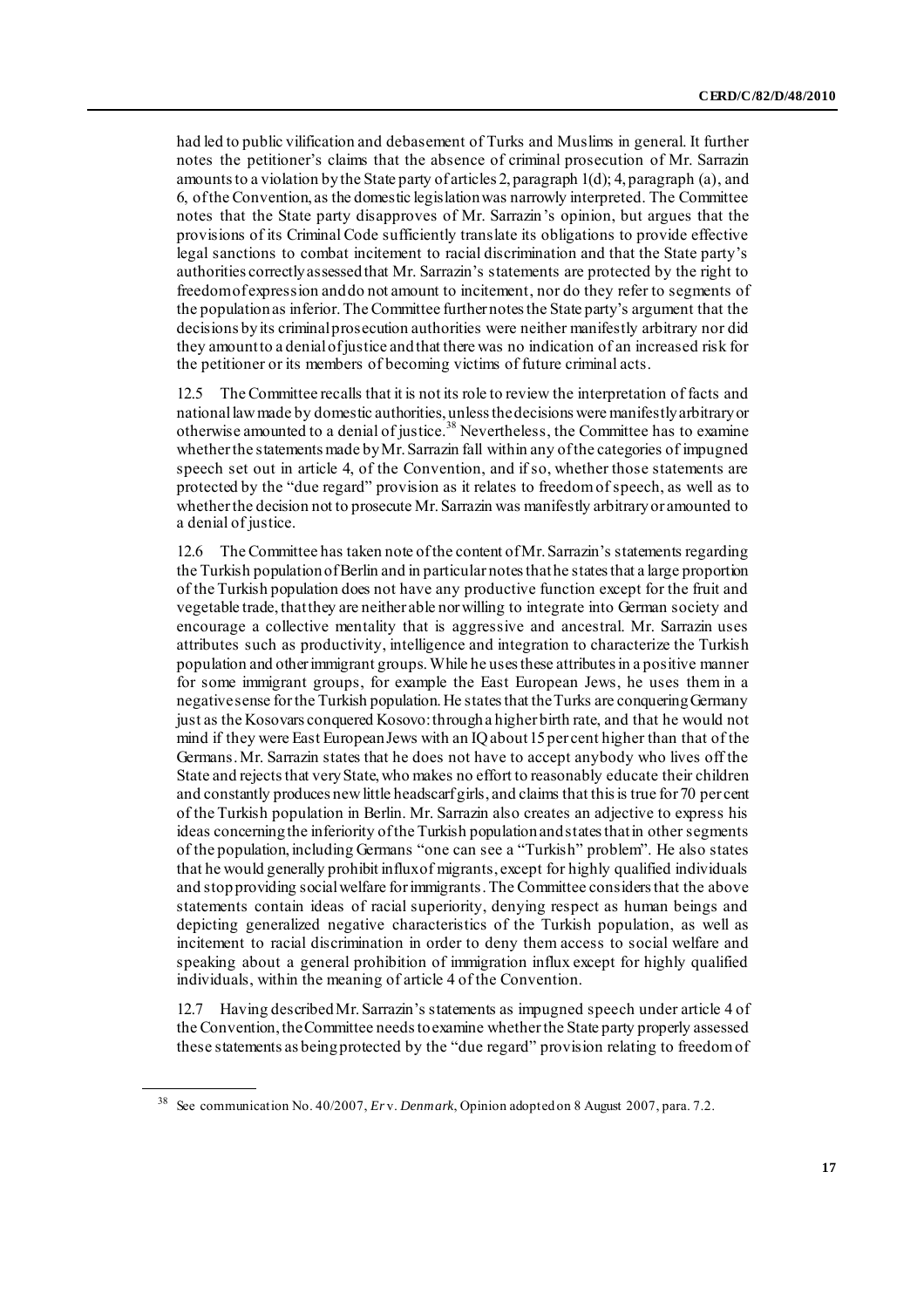had led to public vilification and debasement of Turks and Muslims in general. It further notes the petitioner's claims that the absence of criminal prosecution of Mr. Sarrazin amounts to a violation by the State party of articles 2, paragraph 1(d); 4, paragraph (a), and 6, of the Convention, as the domestic legislation was narrowly interpreted. The Committee notes that the State party disapproves of Mr. Sarrazin's opinion, but argues that the provisions of its Criminal Code sufficiently translate its obligations to provide effective legal sanctions to combat incitement to racial discrimination and that the State party's authorities correctly assessed that Mr. Sarrazin's statements are protected by the right to freedom of expression and do not amount to incitement, nor do they refer to segments of the population as inferior. The Committee further notes the State party's argument that the decisions by its criminal prosecution authorities were neither manifestly arbitrary nor did they amount to a denial of justice and that there was no indication of an increased risk for the petitioner or its members of becoming victims of future criminal acts.

12.5 The Committee recalls that it is not its role to review the interpretation of facts and national law made by domestic authorities, unless the decisions were manifestly arbitrary or otherwise amounted to a denial of justice.<sup>38</sup> Nevertheless, the Committee has to examine whether the statements made by Mr. Sarrazin fall within any of the categories of impugned speech set out in article 4, of the Convention, and if so, whether those statements are protected by the "due regard" provision as it relates to freedom of speech, as well as to whether the decision not to prosecute Mr. Sarrazin was manifestly arbitrary or amounted to a denial of justice.

12.6 The Committee has taken note of the content of Mr. Sarrazin's statements regarding the Turkish population of Berlin and in particular notes that he states that a large proportion of the Turkish population does not have any productive function except for the fruit and vegetable trade, that they are neither able nor willing to integrate into German society and encourage a collective mentality that is aggressive and ancestral. Mr. Sarrazin uses attributes such as productivity, intelligence and integration to characterize the Turkish population and other immigrant groups. While he uses these attributes in a positive manner for some immigrant groups, for example the East European Jews, he uses them in a negative sense for the Turkish population. He states that the Turks are conquering Germany just as the Kosovars conquered Kosovo: through a higher birth rate, and that he would not mind if they were East European Jews with an IQ about 15 per cent higher than that of the Germans. Mr. Sarrazin states that he does not have to accept anybody who lives off the State and rejects that very State, who makes no effort to reasonably educate their children and constantly produces new little headscarf girls, and claims that this is true for 70 per cent of the Turkish population in Berlin. Mr. Sarrazin also creates an adjective to express his ideas concerning the inferiority of the Turkish population and states that in other segments of the population, including Germans "one can see a "Turkish" problem". He also states that he would generally prohibit influx of migrants, except for highly qualified individuals and stop providing social welfare for immigrants.The Committee considers that the above statements contain ideas of racial superiority, denying respect as human beings and depicting generalized negative characteristics of the Turkish population, as well as incitement to racial discrimination in order to deny them access to social welfare and speaking about a general prohibition of immigration influx except for highly qualified individuals, within the meaning of article 4 of the Convention.

12.7 Having described Mr. Sarrazin's statements as impugned speech under article 4 of the Convention, the Committee needs to examine whether the State party properly assessed these statements as being protected by the "due regard" provision relating to freedom of

<sup>38</sup> See communication No. 40/2007, *Er* v. *Denmark*, Opinion adopted on 8 August 2007, para. 7.2.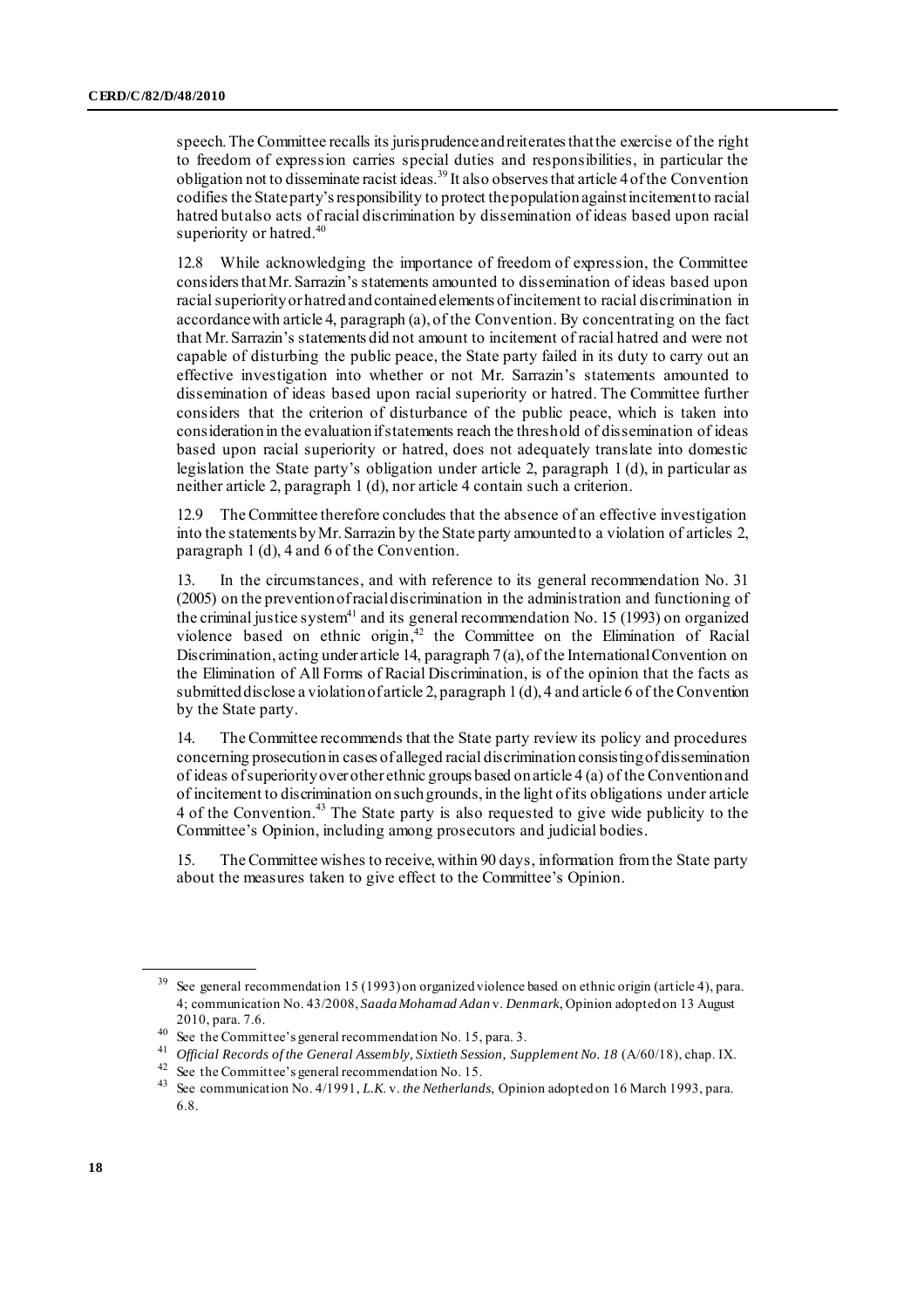speech. The Committee recalls its jurisprudence and reiterates that the exercise of the right to freedom of expression carries special duties and responsibilities, in particular the obligation not to disseminate racist ideas.<sup>39</sup> It also observes that article 4 of the Convention codifies the State party's responsibility to protect the population against incitement to racial hatred but also acts of racial discrimination by dissemination of ideas based upon racial superiority or hatred.<sup>40</sup>

12.8 While acknowledging the importance of freedom of expression, the Committee considers that Mr. Sarrazin's statements amounted to dissemination of ideas based upon racial superiority or hatred and contained elements of incitement to racial discrimination in accordance with article 4, paragraph (a), of the Convention. By concentrating on the fact that Mr. Sarrazin's statements did not amount to incitement of racial hatred and were not capable of disturbing the public peace, the State party failed in its duty to carry out an effective investigation into whether or not Mr. Sarrazin's statements amounted to dissemination of ideas based upon racial superiority or hatred. The Committee further considers that the criterion of disturbance of the public peace, which is taken into consideration in the evaluation if statements reach the threshold of dissemination of ideas based upon racial superiority or hatred, does not adequately translate into domestic legislation the State party's obligation under article 2, paragraph 1 (d), in particular as neither article 2, paragraph 1 (d), nor article 4 contain such a criterion.

12.9 The Committee therefore concludes that the absence of an effective investigation into the statements by Mr. Sarrazin by the State party amounted to a violation of articles 2, paragraph 1 (d), 4 and 6 of the Convention.

In the circumstances, and with reference to its general recommendation No. 31 (2005) on the prevention of racial discrimination in the administration and functioning of the criminal justice system $41$  and its general recommendation No. 15 (1993) on organized violence based on ethnic origin, <sup>42</sup> the Committee on the Elimination of Racial Discrimination, acting under article 14, paragraph 7 (a), of the International Convention on the Elimination of All Forms of Racial Discrimination, is of the opinion that the facts as submitted disclose a violation of article 2, paragraph 1 (d), 4 and article 6 of the Convention by the State party.

14. The Committee recommends that the State party review its policy and procedures concerning prosecution in cases of alleged racial discrimination consisting of dissemination of ideas of superiority over other ethnic groups based on article 4 (a) of the Convention and of incitement to discrimination on such grounds, in the light of its obligations under article 4 of the Convention.<sup>43</sup> The State party is also requested to give wide publicity to the Committee's Opinion, including among prosecutors and judicial bodies.

15. The Committee wishes to receive, within 90 days, information from the State party about the measures taken to give effect to the Committee's Opinion.

See general recommendation 15 (1993) on organized violence based on ethnic origin (article 4), para. 4; communication No. 43/2008, *Saada Mohamad Adan* v. *Denmark*, Opinion adopted on 13 August 2010, para. 7.6.

<sup>40</sup> See the Committee's general recommendation No. 15, para. 3.

<sup>41</sup> *Official Records of the General Assembly, Sixtieth Session, Supplement No. 18* (A/60/18), chap. IX.

 $42$  See the Committee's general recommendation No. 15.

<sup>43</sup> See communication No. 4/1991, *L.K*. v. *the Netherlands*, Opinion adopted on 16 March 1993, para. 6.8.